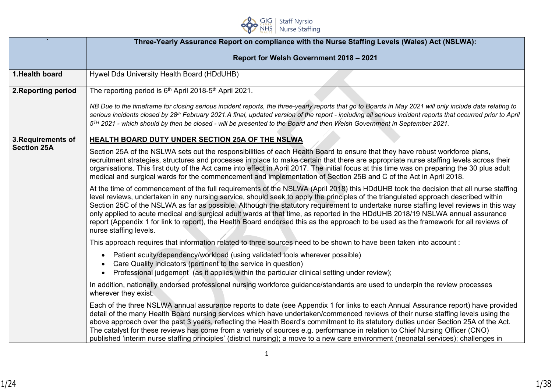

|                     | Three-Yearly Assurance Report on compliance with the Nurse Staffing Levels (Wales) Act (NSLWA):                                                                                                                                                                                                                                                                                                                                                                                                                                                                                                                                                                                                                          |  |  |  |  |
|---------------------|--------------------------------------------------------------------------------------------------------------------------------------------------------------------------------------------------------------------------------------------------------------------------------------------------------------------------------------------------------------------------------------------------------------------------------------------------------------------------------------------------------------------------------------------------------------------------------------------------------------------------------------------------------------------------------------------------------------------------|--|--|--|--|
|                     | Report for Welsh Government 2018 - 2021                                                                                                                                                                                                                                                                                                                                                                                                                                                                                                                                                                                                                                                                                  |  |  |  |  |
| 1. Health board     |                                                                                                                                                                                                                                                                                                                                                                                                                                                                                                                                                                                                                                                                                                                          |  |  |  |  |
|                     | Hywel Dda University Health Board (HDdUHB)                                                                                                                                                                                                                                                                                                                                                                                                                                                                                                                                                                                                                                                                               |  |  |  |  |
| 2. Reporting period | The reporting period is 6 <sup>th</sup> April 2018-5 <sup>th</sup> April 2021.                                                                                                                                                                                                                                                                                                                                                                                                                                                                                                                                                                                                                                           |  |  |  |  |
|                     | NB Due to the timeframe for closing serious incident reports, the three-yearly reports that go to Boards in May 2021 will only include data relating to<br>serious incidents closed by 28 <sup>th</sup> February 2021.A final, updated version of the report - including all serious incident reports that occurred prior to April<br>5 <sup>TH</sup> 2021 - which should by then be closed - will be presented to the Board and then Welsh Government in September 2021.                                                                                                                                                                                                                                                |  |  |  |  |
| 3. Requirements of  | HEALTH BOARD DUTY UNDER SECTION 25A OF THE NSLWA                                                                                                                                                                                                                                                                                                                                                                                                                                                                                                                                                                                                                                                                         |  |  |  |  |
| <b>Section 25A</b>  | Section 25A of the NSLWA sets out the responsibilities of each Health Board to ensure that they have robust workforce plans,<br>recruitment strategies, structures and processes in place to make certain that there are appropriate nurse staffing levels across their<br>organisations. This first duty of the Act came into effect in April 2017. The initial focus at this time was on preparing the 30 plus adult<br>medical and surgical wards for the commencement and implementation of Section 25B and C of the Act in April 2018.                                                                                                                                                                              |  |  |  |  |
|                     | At the time of commencement of the full requirements of the NSLWA (April 2018) this HDdUHB took the decision that all nurse staffing<br>level reviews, undertaken in any nursing service, should seek to apply the principles of the triangulated approach described within<br>Section 25C of the NSLWA as far as possible. Although the statutory requirement to undertake nurse staffing level reviews in this way<br>only applied to acute medical and surgical adult wards at that time, as reported in the HDdUHB 2018/19 NSLWA annual assurance<br>report (Appendix 1 for link to report), the Health Board endorsed this as the approach to be used as the framework for all reviews of<br>nurse staffing levels. |  |  |  |  |
|                     | This approach requires that information related to three sources need to be shown to have been taken into account:                                                                                                                                                                                                                                                                                                                                                                                                                                                                                                                                                                                                       |  |  |  |  |
|                     | Patient acuity/dependency/workload (using validated tools wherever possible)<br>$\bullet$<br>Care Quality indicators (pertinent to the service in question)<br>Professional judgement (as it applies within the particular clinical setting under review);                                                                                                                                                                                                                                                                                                                                                                                                                                                               |  |  |  |  |
|                     | In addition, nationally endorsed professional nursing workforce guidance/standards are used to underpin the review processes<br>wherever they exist.                                                                                                                                                                                                                                                                                                                                                                                                                                                                                                                                                                     |  |  |  |  |
|                     | Each of the three NSLWA annual assurance reports to date (see Appendix 1 for links to each Annual Assurance report) have provided<br>detail of the many Health Board nursing services which have undertaken/commenced reviews of their nurse staffing levels using the<br>above approach over the past 3 years, reflecting the Health Board's commitment to its statutory duties under Section 25A of the Act.<br>The catalyst for these reviews has come from a variety of sources e.g. performance in relation to Chief Nursing Officer (CNO)<br>published 'interim nurse staffing principles' (district nursing); a move to a new care environment (neonatal services); challenges in                                 |  |  |  |  |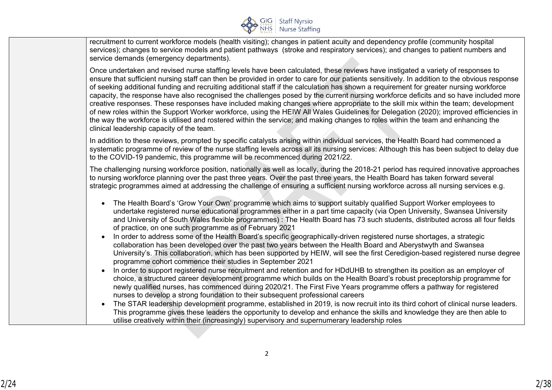

recruitment to current workforce models (health visiting); changes in patient acuity and dependency profile (community hospital services); changes to service models and patient pathways (stroke and respiratory services); and changes to patient numbers and service demands (emergency departments).

Once undertaken and revised nurse staffing levels have been calculated, these reviews have instigated a variety of responses to ensure that sufficient nursing staff can then be provided in order to care for our patients sensitively. In addition to the obvious response of seeking additional funding and recruiting additional staff if the calculation has shown a requirement for greater nursing workforce capacity, the response have also recognised the challenges posed by the current nursing workforce deficits and so have included more creative responses. These responses have included making changes where appropriate to the skill mix within the team; development of new roles within the Support Worker workforce, using the HEIW All Wales Guidelines for Delegation (2020); improved efficiencies in the way the workforce is utilised and rostered within the service; and making changes to roles within the team and enhancing the clinical leadership capacity of the team.

In addition to these reviews, prompted by specific catalysts arising within individual services, the Health Board had commenced a systematic programme of review of the nurse staffing levels across all its nursing services: Although this has been subject to delay due to the COVID-19 pandemic, this programme will be recommenced during 2021/22.

The challenging nursing workforce position, nationally as well as locally, during the 2018-21 period has required innovative approaches to nursing workforce planning over the past three years. Over the past three years, the Health Board has taken forward several strategic programmes aimed at addressing the challenge of ensuring a sufficient nursing workforce across all nursing services e.g.

- The Health Board's 'Grow Your Own' programme which aims to support suitably qualified Support Worker employees to undertake registered nurse educational programmes either in a part time capacity (via Open University, Swansea University and University of South Wales flexible programmes) : The Health Board has 73 such students, distributed across all four fields of practice, on one such programme as of February 2021
- In order to address some of the Health Board's specific geographically-driven registered nurse shortages, a strategic collaboration has been developed over the past two years between the Health Board and Aberystwyth and Swansea University's. This collaboration, which has been supported by HEIW, will see the first Ceredigion-based registered nurse degree programme cohort commence their studies in September 2021
- In order to support registered nurse recruitment and retention and for HDdUHB to strengthen its position as an employer of choice, a structured career development programme which builds on the Health Board's robust preceptorship programme for newly qualified nurses, has commenced during 2020/21. The First Five Years programme offers a pathway for registered nurses to develop a strong foundation to their subsequent professional careers
- The STAR leadership development programme, established in 2019, is now recruit into its third cohort of clinical nurse leaders. This programme gives these leaders the opportunity to develop and enhance the skills and knowledge they are then able to utilise creatively within their (increasingly) supervisory and supernumerary leadership roles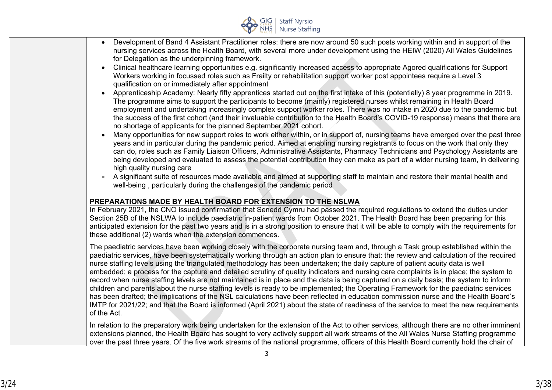

- Development of Band 4 Assistant Practitioner roles: there are now around 50 such posts working within and in support of the nursing services across the Health Board, with several more under development using the HEIW (2020) All Wales Guidelines for Delegation as the underpinning framework.
- Clinical healthcare learning opportunities e.g. significantly increased access to appropriate Agored qualifications for Support Workers working in focussed roles such as Frailty or rehabilitation support worker post appointees require a Level 3 qualification on or immediately after appointment
- Apprenticeship Academy: Nearly fifty apprentices started out on the first intake of this (potentially) 8 year programme in 2019. The programme aims to support the participants to become (mainly) registered nurses whilst remaining in Health Board employment and undertaking increasingly complex support worker roles. There was no intake in 2020 due to the pandemic but the success of the first cohort (and their invaluable contribution to the Health Board's COVID-19 response) means that there are no shortage of applicants for the planned September 2021 cohort.
- Many opportunities for new support roles to work either within, or in support of, nursing teams have emerged over the past three years and in particular during the pandemic period. Aimed at enabling nursing registrants to focus on the work that only they can do, roles such as Family Liaison Officers, Administrative Assistants, Pharmacy Technicians and Psychology Assistants are being developed and evaluated to assess the potential contribution they can make as part of a wider nursing team, in delivering high quality nursing care
- A significant suite of resources made available and aimed at supporting staff to maintain and restore their mental health and well-being , particularly during the challenges of the pandemic period

### **PREPARATIONS MADE BY HEALTH BOARD FOR EXTENSION TO THE NSLWA**

In February 2021, the CNO issued confirmation that Senedd Cymru had passed the required regulations to extend the duties under Section 25B of the NSLWA to include paediatric in-patient wards from October 2021. The Health Board has been preparing for this anticipated extension for the past two years and is in a strong position to ensure that it will be able to comply with the requirements for these additional (2) wards when the extension commences.

The paediatric services have been working closely with the corporate nursing team and, through a Task group established within the paediatric services, have been systematically working through an action plan to ensure that: the review and calculation of the required nurse staffing levels using the triangulated methodology has been undertaken; the daily capture of patient acuity data is well embedded; a process for the capture and detailed scrutiny of quality indicators and nursing care complaints is in place; the system to record when nurse staffing levels are not maintained is in place and the data is being captured on a daily basis; the system to inform children and parents about the nurse staffing levels is ready to be implemented; the Operating Framework for the paediatric services has been drafted; the implications of the NSL calculations have been reflected in education commission nurse and the Health Board's IMTP for 2021/22; and that the Board is informed (April 2021) about the state of readiness of the service to meet the new requirements of the Act.

In relation to the preparatory work being undertaken for the extension of the Act to other services, although there are no other imminent extensions planned, the Health Board has sought to very actively support all work streams of the All Wales Nurse Staffing programme over the past three years. Of the five work streams of the national programme, officers of this Health Board currently hold the chair of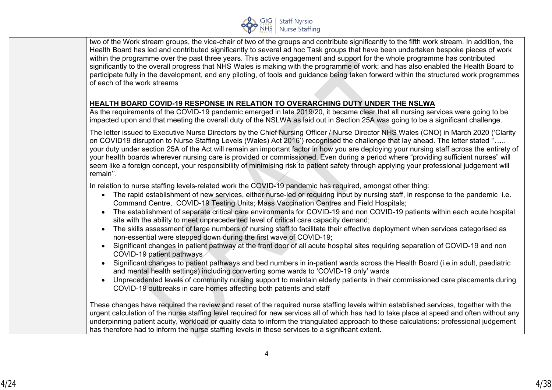

two of the Work stream groups, the vice-chair of two of the groups and contribute significantly to the fifth work stream. In addition, the Health Board has led and contributed significantly to several ad hoc Task groups that have been undertaken bespoke pieces of work within the programme over the past three years. This active engagement and support for the whole programme has contributed significantly to the overall progress that NHS Wales is making with the programme of work; and has also enabled the Health Board to participate fully in the development, and any piloting, of tools and guidance being taken forward within the structured work programmes of each of the work streams

### **HEALTH BOARD COVID-19 RESPONSE IN RELATION TO OVERARCHING DUTY UNDER THE NSLWA**

As the requirements of the COVID-19 pandemic emerged in late 2019/20, it became clear that all nursing services were going to be impacted upon and that meeting the overall duty of the NSLWA as laid out in Section 25A was going to be a significant challenge.

The letter issued to Executive Nurse Directors by the Chief Nursing Officer / Nurse Director NHS Wales (CNO) in March 2020 ('Clarity on COVID19 disruption to Nurse Staffing Levels (Wales) Act 2016') recognised the challenge that lay ahead. The letter stated ''….. your duty under section 25A of the Act will remain an important factor in how you are deploying your nursing staff across the entirety of your health boards wherever nursing care is provided or commissioned. Even during a period where "providing sufficient nurses" will seem like a foreign concept, your responsibility of minimising risk to patient safety through applying your professional judgement will remain''.

In relation to nurse staffing levels-related work the COVID-19 pandemic has required, amongst other thing:

- The rapid establishment of new services, either nurse-led or requiring input by nursing staff, in response to the pandemic i.e. Command Centre, COVID-19 Testing Units; Mass Vaccination Centres and Field Hospitals;
- The establishment of separate critical care environments for COVID-19 and non COVID-19 patients within each acute hospital site with the ability to meet unprecedented level of critical care capacity demand;
- The skills assessment of large numbers of nursing staff to facilitate their effective deployment when services categorised as non-essential were stepped down during the first wave of COVID-19;
- Significant changes in patient pathway at the front door of all acute hospital sites requiring separation of COVID-19 and non COVID-19 patient pathways
- Significant changes to patient pathways and bed numbers in in-patient wards across the Health Board (i.e.in adult, paediatric and mental health settings) including converting some wards to 'COVID-19 only' wards
- Unprecedented levels of community nursing support to maintain elderly patients in their commissioned care placements during COVID-19 outbreaks in care homes affecting both patients and staff

These changes have required the review and reset of the required nurse staffing levels within established services, together with the urgent calculation of the nurse staffing level required for new services all of which has had to take place at speed and often without any underpinning patient acuity, workload or quality data to inform the triangulated approach to these calculations: professional judgement has therefore had to inform the nurse staffing levels in these services to a significant extent.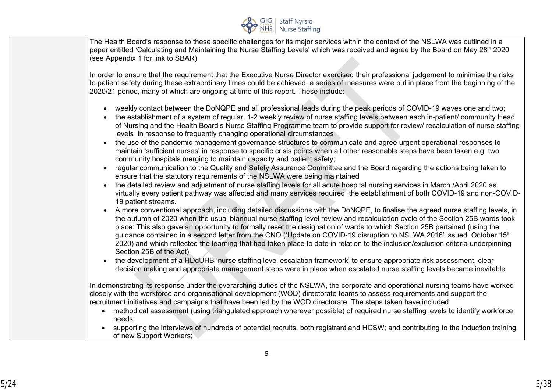

The Health Board's response to these specific challenges for its major services within the context of the NSLWA was outlined in a paper entitled 'Calculating and Maintaining the Nurse Staffing Levels' which was received and agree by the Board on May 28<sup>th</sup> 2020 (see Appendix 1 for link to SBAR)

In order to ensure that the requirement that the Executive Nurse Director exercised their professional judgement to minimise the risks to patient safety during these extraordinary times could be achieved, a series of measures were put in place from the beginning of the 2020/21 period, many of which are ongoing at time of this report. These include:

- weekly contact between the DoNQPE and all professional leads during the peak periods of COVID-19 waves one and two;
- the establishment of a system of regular, 1-2 weekly review of nurse staffing levels between each in-patient/ community Head of Nursing and the Health Board's Nurse Staffing Programme team to provide support for review/ recalculation of nurse staffing levels in response to frequently changing operational circumstances
- the use of the pandemic management governance structures to communicate and agree urgent operational responses to maintain 'sufficient nurses' in response to specific crisis points when all other reasonable steps have been taken e.g. two community hospitals merging to maintain capacity and patient safety;
- regular communication to the Quality and Safety Assurance Committee and the Board regarding the actions being taken to ensure that the statutory requirements of the NSLWA were being maintained
- the detailed review and adjustment of nurse staffing levels for all acute hospital nursing services in March /April 2020 as virtually every patient pathway was affected and many services required the establishment of both COVID-19 and non-COVID-19 patient streams.
- A more conventional approach, including detailed discussions with the DoNQPE, to finalise the agreed nurse staffing levels, in the autumn of 2020 when the usual biannual nurse staffing level review and recalculation cycle of the Section 25B wards took place: This also gave an opportunity to formally reset the designation of wards to which Section 25B pertained (using the guidance contained in a second letter from the CNO ('Update on COVID-19 disruption to NSLWA 2016' issued October 15th 2020) and which reflected the learning that had taken place to date in relation to the inclusion/exclusion criteria underpinning Section 25B of the Act)
- the development of a HDdUHB 'nurse staffing level escalation framework' to ensure appropriate risk assessment, clear decision making and appropriate management steps were in place when escalated nurse staffing levels became inevitable

In demonstrating its response under the overarching duties of the NSLWA, the corporate and operational nursing teams have worked closely with the workforce and organisational development (WOD) directorate teams to assess requirements and support the recruitment initiatives and campaigns that have been led by the WOD directorate. The steps taken have included:

- methodical assessment (using triangulated approach wherever possible) of required nurse staffing levels to identify workforce needs;
- supporting the interviews of hundreds of potential recruits, both registrant and HCSW; and contributing to the induction training of new Support Workers;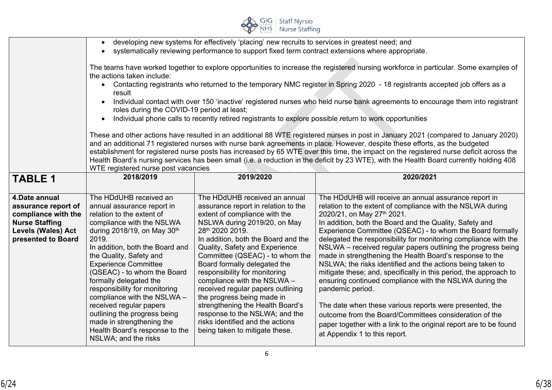

|                                                 | developing new systems for effectively 'placing' new recruits to services in greatest need; and                                      |                                                                                                         |                                                                                                                                         |  |  |  |  |
|-------------------------------------------------|--------------------------------------------------------------------------------------------------------------------------------------|---------------------------------------------------------------------------------------------------------|-----------------------------------------------------------------------------------------------------------------------------------------|--|--|--|--|
|                                                 |                                                                                                                                      | systematically reviewing performance to support fixed term contract extensions where appropriate.       |                                                                                                                                         |  |  |  |  |
|                                                 |                                                                                                                                      |                                                                                                         |                                                                                                                                         |  |  |  |  |
|                                                 | The teams have worked together to explore opportunities to increase the registered nursing workforce in particular. Some examples of |                                                                                                         |                                                                                                                                         |  |  |  |  |
|                                                 | the actions taken include:                                                                                                           |                                                                                                         |                                                                                                                                         |  |  |  |  |
|                                                 | $\bullet$                                                                                                                            |                                                                                                         | Contacting registrants who returned to the temporary NMC register in Spring 2020 - 18 registrants accepted job offers as a              |  |  |  |  |
|                                                 | result                                                                                                                               |                                                                                                         |                                                                                                                                         |  |  |  |  |
|                                                 | $\bullet$                                                                                                                            |                                                                                                         | Individual contact with over 150 'inactive' registered nurses who held nurse bank agreements to encourage them into registrant          |  |  |  |  |
|                                                 | roles during the COVID-19 period at least;                                                                                           |                                                                                                         |                                                                                                                                         |  |  |  |  |
|                                                 | $\bullet$                                                                                                                            | Individual phone calls to recently retired registrants to explore possible return to work opportunities |                                                                                                                                         |  |  |  |  |
|                                                 |                                                                                                                                      |                                                                                                         | These and other actions have resulted in an additional 88 WTE registered nurses in post in January 2021 (compared to January 2020)      |  |  |  |  |
|                                                 |                                                                                                                                      |                                                                                                         | and an additional 71 registered nurses with nurse bank agreements in place. However, despite these efforts, as the budgeted             |  |  |  |  |
|                                                 |                                                                                                                                      |                                                                                                         | establishment for registered nurse posts has increased by 65 WTE over this time, the impact on the registered nurse deficit across the  |  |  |  |  |
|                                                 |                                                                                                                                      |                                                                                                         | Health Board's nursing services has been small (i.e. a reduction in the deficit by 23 WTE), with the Health Board currently holding 408 |  |  |  |  |
|                                                 | WTE registered nurse post vacancies                                                                                                  |                                                                                                         |                                                                                                                                         |  |  |  |  |
| <b>TABLE 1</b>                                  | 2018/2019                                                                                                                            | 2019/2020                                                                                               | 2020/2021                                                                                                                               |  |  |  |  |
|                                                 |                                                                                                                                      |                                                                                                         |                                                                                                                                         |  |  |  |  |
| 4.Date annual                                   | The HDdUHB received an                                                                                                               | The HDdUHB received an annual                                                                           | The HDdUHB will receive an annual assurance report in                                                                                   |  |  |  |  |
| assurance report of                             | annual assurance report in                                                                                                           |                                                                                                         |                                                                                                                                         |  |  |  |  |
|                                                 |                                                                                                                                      |                                                                                                         |                                                                                                                                         |  |  |  |  |
|                                                 |                                                                                                                                      | assurance report in relation to the                                                                     | relation to the extent of compliance with the NSLWA during                                                                              |  |  |  |  |
| compliance with the                             | relation to the extent of                                                                                                            | extent of compliance with the                                                                           | 2020/21, on May 27th 2021.                                                                                                              |  |  |  |  |
| <b>Nurse Staffing</b>                           | compliance with the NSLWA                                                                                                            | NSLWA during 2019/20, on May<br>28th 2020 2019.                                                         | In addition, both the Board and the Quality, Safety and                                                                                 |  |  |  |  |
| <b>Levels (Wales) Act</b><br>presented to Board | during 2018/19, on May 30th<br>2019.                                                                                                 | In addition, both the Board and the                                                                     | Experience Committee (QSEAC) - to whom the Board formally                                                                               |  |  |  |  |
|                                                 | In addition, both the Board and                                                                                                      |                                                                                                         | delegated the responsibility for monitoring compliance with the<br>NSLWA - received regular papers outlining the progress being         |  |  |  |  |
|                                                 | the Quality, Safety and                                                                                                              | Quality, Safety and Experience<br>Committee (QSEAC) - to whom the                                       | made in strengthening the Health Board's response to the                                                                                |  |  |  |  |
|                                                 | <b>Experience Committee</b>                                                                                                          | Board formally delegated the                                                                            | NSLWA; the risks identified and the actions being taken to                                                                              |  |  |  |  |
|                                                 | (QSEAC) - to whom the Board                                                                                                          | responsibility for monitoring                                                                           | mitigate these; and, specifically in this period, the approach to                                                                       |  |  |  |  |
|                                                 | formally delegated the                                                                                                               | compliance with the NSLWA -                                                                             | ensuring continued compliance with the NSLWA during the                                                                                 |  |  |  |  |
|                                                 | responsibility for monitoring                                                                                                        | received regular papers outlining                                                                       | pandemic period.                                                                                                                        |  |  |  |  |
|                                                 | compliance with the NSLWA -                                                                                                          | the progress being made in                                                                              |                                                                                                                                         |  |  |  |  |
|                                                 | received regular papers                                                                                                              | strengthening the Health Board's                                                                        | The date when these various reports were presented, the                                                                                 |  |  |  |  |
|                                                 | outlining the progress being                                                                                                         | response to the NSLWA; and the                                                                          | outcome from the Board/Committees consideration of the                                                                                  |  |  |  |  |
|                                                 | made in strengthening the                                                                                                            | risks identified and the actions                                                                        | paper together with a link to the original report are to be found                                                                       |  |  |  |  |
|                                                 | Health Board's response to the<br>NSLWA; and the risks                                                                               | being taken to mitigate these.                                                                          | at Appendix 1 to this report.                                                                                                           |  |  |  |  |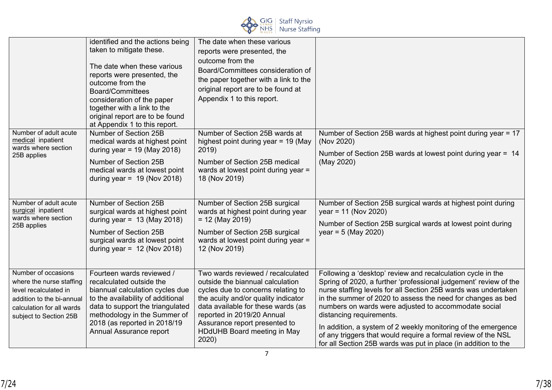

|                                                                                                                                                              | identified and the actions being<br>taken to mitigate these.<br>The date when these various<br>reports were presented, the<br>outcome from the<br><b>Board/Committees</b><br>consideration of the paper<br>together with a link to the<br>original report are to be found<br>at Appendix 1 to this report. | The date when these various<br>reports were presented, the<br>outcome from the<br>Board/Committees consideration of<br>the paper together with a link to the<br>original report are to be found at<br>Appendix 1 to this report.                                                                |                                                                                                                                                                                                                                                                                                                                                                                                                                                                                                                                                          |
|--------------------------------------------------------------------------------------------------------------------------------------------------------------|------------------------------------------------------------------------------------------------------------------------------------------------------------------------------------------------------------------------------------------------------------------------------------------------------------|-------------------------------------------------------------------------------------------------------------------------------------------------------------------------------------------------------------------------------------------------------------------------------------------------|----------------------------------------------------------------------------------------------------------------------------------------------------------------------------------------------------------------------------------------------------------------------------------------------------------------------------------------------------------------------------------------------------------------------------------------------------------------------------------------------------------------------------------------------------------|
| Number of adult acute<br>medical inpatient<br>wards where section<br>25B applies                                                                             | Number of Section 25B<br>medical wards at highest point<br>during year = $19$ (May 2018)<br>Number of Section 25B<br>medical wards at lowest point<br>during year = $19$ (Nov 2018)                                                                                                                        | Number of Section 25B wards at<br>highest point during year = 19 (May<br>2019)<br>Number of Section 25B medical<br>wards at lowest point during year =<br>18 (Nov 2019)                                                                                                                         | Number of Section 25B wards at highest point during year = 17<br>(Nov 2020)<br>Number of Section 25B wards at lowest point during year = 14<br>(May 2020)                                                                                                                                                                                                                                                                                                                                                                                                |
| Number of adult acute<br>surgical inpatient<br>wards where section<br>25B applies                                                                            | Number of Section 25B<br>surgical wards at highest point<br>during year = $13$ (May 2018)<br>Number of Section 25B<br>surgical wards at lowest point<br>during year = $12$ (Nov 2018)                                                                                                                      | Number of Section 25B surgical<br>wards at highest point during year<br>$= 12$ (May 2019)<br>Number of Section 25B surgical<br>wards at lowest point during year =<br>12 (Nov 2019)                                                                                                             | Number of Section 25B surgical wards at highest point during<br>$year = 11 (Nov 2020)$<br>Number of Section 25B surgical wards at lowest point during<br>$year = 5 (May 2020)$                                                                                                                                                                                                                                                                                                                                                                           |
| Number of occasions<br>where the nurse staffing<br>level recalculated in<br>addition to the bi-annual<br>calculation for all wards<br>subject to Section 25B | Fourteen wards reviewed /<br>recalculated outside the<br>biannual calculation cycles due<br>to the availability of additional<br>data to support the triangulated<br>methodology in the Summer of<br>2018 (as reported in 2018/19<br>Annual Assurance report                                               | Two wards reviewed / recalculated<br>outside the biannual calculation<br>cycles due to concerns relating to<br>the acuity and/or quality indicator<br>data available for these wards (as<br>reported in 2019/20 Annual<br>Assurance report presented to<br>HDdUHB Board meeting in May<br>2020) | Following a 'desktop' review and recalculation cycle in the<br>Spring of 2020, a further 'professional judgement' review of the<br>nurse staffing levels for all Section 25B wards was undertaken<br>in the summer of 2020 to assess the need for changes as bed<br>numbers on wards were adjusted to accommodate social<br>distancing requirements.<br>In addition, a system of 2 weekly monitoring of the emergence<br>of any triggers that would require a formal review of the NSL<br>for all Section 25B wards was put in place (in addition to the |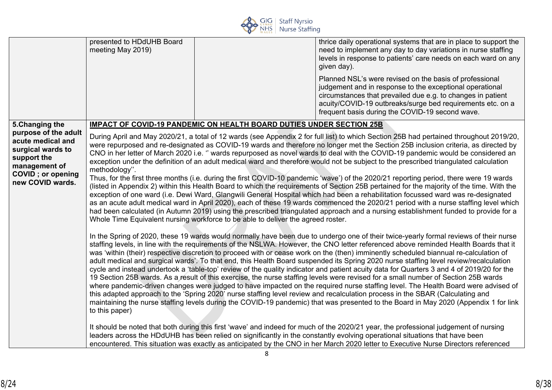

|                                                                                                                                                                    | presented to HDdUHB Board<br>meeting May 2019)                                                                                                                                                                                                                                                                                                                                                                                                                                                                                                                                                                                                                                                                                                                                                                                                                                                                                                                                                                                                                                                                                                                                                                                                                                                                                                                                                                                                     |  | thrice daily operational systems that are in place to support the<br>need to implement any day to day variations in nurse staffing<br>levels in response to patients' care needs on each ward on any<br>given day).<br>Planned NSL's were revised on the basis of professional<br>judgement and in response to the exceptional operational<br>circumstances that prevailed due e.g. to changes in patient<br>acuity/COVID-19 outbreaks/surge bed requirements etc. on a<br>frequent basis during the COVID-19 second wave. |
|--------------------------------------------------------------------------------------------------------------------------------------------------------------------|----------------------------------------------------------------------------------------------------------------------------------------------------------------------------------------------------------------------------------------------------------------------------------------------------------------------------------------------------------------------------------------------------------------------------------------------------------------------------------------------------------------------------------------------------------------------------------------------------------------------------------------------------------------------------------------------------------------------------------------------------------------------------------------------------------------------------------------------------------------------------------------------------------------------------------------------------------------------------------------------------------------------------------------------------------------------------------------------------------------------------------------------------------------------------------------------------------------------------------------------------------------------------------------------------------------------------------------------------------------------------------------------------------------------------------------------------|--|----------------------------------------------------------------------------------------------------------------------------------------------------------------------------------------------------------------------------------------------------------------------------------------------------------------------------------------------------------------------------------------------------------------------------------------------------------------------------------------------------------------------------|
| 5. Changing the<br>purpose of the adult<br>acute medical and<br>surgical wards to<br>support the<br>management of<br><b>COVID</b> ; or opening<br>new COVID wards. | IMPACT OF COVID-19 PANDEMIC ON HEALTH BOARD DUTIES UNDER SECTION 25B<br>During April and May 2020/21, a total of 12 wards (see Appendix 2 for full list) to which Section 25B had pertained throughout 2019/20,<br>were repurposed and re-designated as COVID-19 wards and therefore no longer met the Section 25B inclusion criteria, as directed by<br>CNO in her letter of March 2020 i.e. " wards repurposed as novel wards to deal with the COVID-19 pandemic would be considered an<br>exception under the definition of an adult medical ward and therefore would not be subject to the prescribed triangulated calculation<br>methodology".<br>Thus, for the first three months (i.e. during the first COVID-10 pandemic 'wave') of the 2020/21 reporting period, there were 19 wards<br>(listed in Appendix 2) within this Health Board to which the requirements of Section 25B pertained for the majority of the time. With the<br>exception of one ward (i.e. Dewi Ward, Glangwili General Hospital which had been a rehabilitation focussed ward was re-designated<br>as an acute adult medical ward in April 2020), each of these 19 wards commenced the 2020/21 period with a nurse staffing level which<br>had been calculated (in Autumn 2019) using the prescribed triangulated approach and a nursing establishment funded to provide for a<br>Whole Time Equivalent nursing workforce to be able to deliver the agreed roster. |  |                                                                                                                                                                                                                                                                                                                                                                                                                                                                                                                            |
|                                                                                                                                                                    | In the Spring of 2020, these 19 wards would normally have been due to undergo one of their twice-yearly formal reviews of their nurse<br>staffing levels, in line with the requirements of the NSLWA. However, the CNO letter referenced above reminded Health Boards that it<br>was 'within (their) respective discretion to proceed with or cease work on the (then) imminently scheduled biannual re-calculation of<br>adult medical and surgical wards. To that end, this Health Board suspended its Spring 2020 nurse staffing level review/recalculation<br>cycle and instead undertook a 'table-top' review of the quality indicator and patient acuity data for Quarters 3 and 4 of 2019/20 for the<br>19 Section 25B wards. As a result of this exercise, the nurse staffing levels were revised for a small number of Section 25B wards<br>where pandemic-driven changes were judged to have impacted on the required nurse staffing level. The Health Board were advised of<br>this adapted approach to the 'Spring 2020' nurse staffing level review and recalculation process in the SBAR (Calculating and<br>maintaining the nurse staffing levels during the COVID-19 pandemic) that was presented to the Board in May 2020 (Appendix 1 for link<br>to this paper)<br>It should be noted that both during this first 'wave' and indeed for much of the 2020/21 year, the professional judgement of nursing                          |  |                                                                                                                                                                                                                                                                                                                                                                                                                                                                                                                            |
|                                                                                                                                                                    |                                                                                                                                                                                                                                                                                                                                                                                                                                                                                                                                                                                                                                                                                                                                                                                                                                                                                                                                                                                                                                                                                                                                                                                                                                                                                                                                                                                                                                                    |  | leaders across the HDdUHB has been relied on significantly in the constantly evolving operational situations that have been<br>encountered. This situation was exactly as anticipated by the CNO in her March 2020 letter to Executive Nurse Directors referenced                                                                                                                                                                                                                                                          |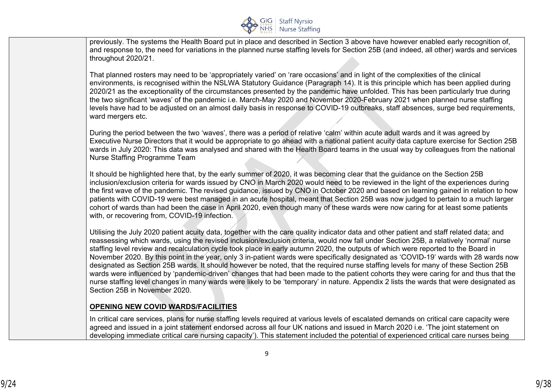

previously. The systems the Health Board put in place and described in Section 3 above have however enabled early recognition of, and response to, the need for variations in the planned nurse staffing levels for Section 25B (and indeed, all other) wards and services throughout 2020/21.

That planned rosters may need to be 'appropriately varied' on 'rare occasions' and in light of the complexities of the clinical environments, is recognised within the NSLWA Statutory Guidance (Paragraph 14). It is this principle which has been applied during 2020/21 as the exceptionality of the circumstances presented by the pandemic have unfolded. This has been particularly true during the two significant 'waves' of the pandemic i.e. March-May 2020 and November 2020-February 2021 when planned nurse staffing levels have had to be adjusted on an almost daily basis in response to COVID-19 outbreaks, staff absences, surge bed requirements, ward mergers etc.

During the period between the two 'waves', there was a period of relative 'calm' within acute adult wards and it was agreed by Executive Nurse Directors that it would be appropriate to go ahead with a national patient acuity data capture exercise for Section 25B wards in July 2020: This data was analysed and shared with the Health Board teams in the usual way by colleagues from the national Nurse Staffing Programme Team

It should be highlighted here that, by the early summer of 2020, it was becoming clear that the guidance on the Section 25B inclusion/exclusion criteria for wards issued by CNO in March 2020 would need to be reviewed in the light of the experiences during the first wave of the pandemic. The revised guidance, issued by CNO in October 2020 and based on learning gained in relation to how patients with COVID-19 were best managed in an acute hospital, meant that Section 25B was now judged to pertain to a much larger cohort of wards than had been the case in April 2020, even though many of these wards were now caring for at least some patients with, or recovering from, COVID-19 infection.

Utilising the July 2020 patient acuity data, together with the care quality indicator data and other patient and staff related data; and reassessing which wards, using the revised inclusion/exclusion criteria, would now fall under Section 25B, a relatively 'normal' nurse staffing level review and recalculation cycle took place in early autumn 2020, the outputs of which were reported to the Board in November 2020. By this point in the year, only 3 in-patient wards were specifically designated as 'COVID-19' wards with 28 wards now designated as Section 25B wards. It should however be noted, that the required nurse staffing levels for many of these Section 25B wards were influenced by 'pandemic-driven' changes that had been made to the patient cohorts they were caring for and thus that the nurse staffing level changes in many wards were likely to be 'temporary' in nature. Appendix 2 lists the wards that were designated as Section 25B in November 2020.

#### **OPENING NEW COVID WARDS/FACILITIES**

In critical care services, plans for nurse staffing levels required at various levels of escalated demands on critical care capacity were agreed and issued in a joint statement endorsed across all four UK nations and issued in March 2020 i.e. 'The joint statement on developing immediate critical care nursing capacity'). This statement included the potential of experienced critical care nurses being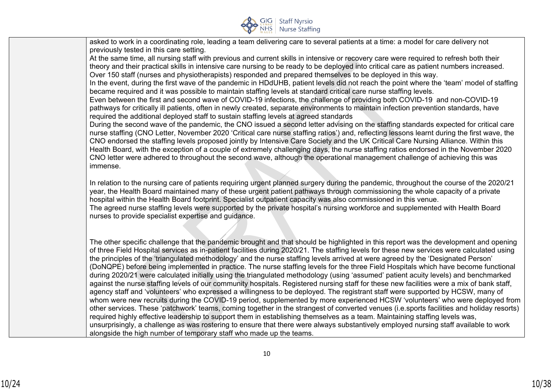

| asked to work in a coordinating role, leading a team delivering care to several patients at a time: a model for care delivery not                                                                                                                                           |
|-----------------------------------------------------------------------------------------------------------------------------------------------------------------------------------------------------------------------------------------------------------------------------|
| previously tested in this care setting.                                                                                                                                                                                                                                     |
| At the same time, all nursing staff with previous and current skills in intensive or recovery care were required to refresh both their                                                                                                                                      |
| theory and their practical skills in intensive care nursing to be ready to be deployed into critical care as patient numbers increased.                                                                                                                                     |
| Over 150 staff (nurses and physiotherapists) responded and prepared themselves to be deployed in this way.                                                                                                                                                                  |
| In the event, during the first wave of the pandemic in HDdUHB, patient levels did not reach the point where the 'team' model of staffing                                                                                                                                    |
| became required and it was possible to maintain staffing levels at standard critical care nurse staffing levels.                                                                                                                                                            |
| Even between the first and second wave of COVID-19 infections, the challenge of providing both COVID-19 and non-COVID-19                                                                                                                                                    |
| pathways for critically ill patients, often in newly created, separate environments to maintain infection prevention standards, have                                                                                                                                        |
| required the additional deployed staff to sustain staffing levels at agreed standards                                                                                                                                                                                       |
| During the second wave of the pandemic, the CNO issued a second letter advising on the staffing standards expected for critical care                                                                                                                                        |
| nurse staffing (CNO Letter, November 2020 'Critical care nurse staffing ratios') and, reflecting lessons learnt during the first wave, the                                                                                                                                  |
| CNO endorsed the staffing levels proposed jointly by Intensive Care Society and the UK Critical Care Nursing Alliance. Within this                                                                                                                                          |
| Health Board, with the exception of a couple of extremely challenging days, the nurse staffing ratios endorsed in the November 2020                                                                                                                                         |
| CNO letter were adhered to throughout the second wave, although the operational management challenge of achieving this was                                                                                                                                                  |
| immense.                                                                                                                                                                                                                                                                    |
|                                                                                                                                                                                                                                                                             |
| In relation to the nursing care of patients requiring urgent planned surgery during the pandemic, throughout the course of the 2020/21                                                                                                                                      |
| year, the Health Board maintained many of these urgent patient pathways through commissioning the whole capacity of a private                                                                                                                                               |
| hospital within the Health Board footprint. Specialist outpatient capacity was also commissioned in this venue.                                                                                                                                                             |
| The agreed nurse staffing levels were supported by the private hospital's nursing workforce and supplemented with Health Board                                                                                                                                              |
| nurses to provide specialist expertise and guidance.                                                                                                                                                                                                                        |
|                                                                                                                                                                                                                                                                             |
|                                                                                                                                                                                                                                                                             |
| The other specific challenge that the pandemic brought and that should be highlighted in this report was the development and opening                                                                                                                                        |
| of three Field Hospital services as in-patient facilities during 2020/21. The staffing levels for these new services were calculated using                                                                                                                                  |
| the principles of the 'triangulated methodology' and the nurse staffing levels arrived at were agreed by the 'Designated Person'                                                                                                                                            |
| (DoNQPE) before being implemented in practice. The nurse staffing levels for the three Field Hospitals which have become functional                                                                                                                                         |
| during 2020/21 were calculated initially using the triangulated methodology (using 'assumed' patient acuity levels) and benchmarked                                                                                                                                         |
| against the nurse staffing levels of our community hospitals. Registered nursing staff for these new facilities were a mix of bank staff,<br>agency staff and 'volunteers' who expressed a willingness to be deployed. The registrant staff were supported by HCSW, many of |
| whom were new recruits during the COVID-19 period, supplemented by more experienced HCSW 'volunteers' who were deployed from                                                                                                                                                |
| other services. These 'patchwork' teams, coming together in the strangest of converted venues (i.e.sports facilities and holiday resorts)                                                                                                                                   |
| required highly effective leadership to support them in establishing themselves as a team. Maintaining staffing levels was,                                                                                                                                                 |
| unsurprisingly, a challenge as was rostering to ensure that there were always substantively employed nursing staff available to work                                                                                                                                        |
| alongside the high number of temporary staff who made up the teams.                                                                                                                                                                                                         |
|                                                                                                                                                                                                                                                                             |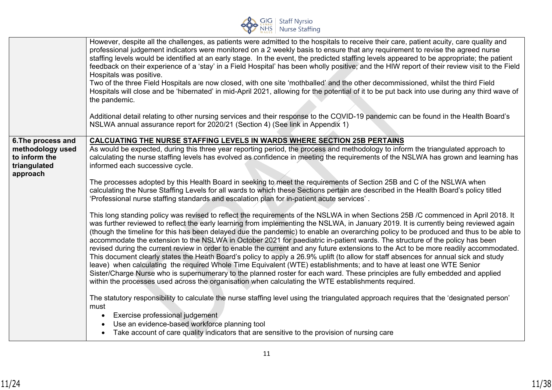

|                                                               | However, despite all the challenges, as patients were admitted to the hospitals to receive their care, patient acuity, care quality and<br>professional judgement indicators were monitored on a 2 weekly basis to ensure that any requirement to revise the agreed nurse<br>staffing levels would be identified at an early stage. In the event, the predicted staffing levels appeared to be appropriate; the patient<br>feedback on their experience of a 'stay' in a Field Hospital' has been wholly positive; and the HIW report of their review visit to the Field<br>Hospitals was positive.<br>Two of the three Field Hospitals are now closed, with one site 'mothballed' and the other decommissioned, whilst the third Field<br>Hospitals will close and be 'hibernated' in mid-April 2021, allowing for the potential of it to be put back into use during any third wave of<br>the pandemic.<br>Additional detail relating to other nursing services and their response to the COVID-19 pandemic can be found in the Health Board's                                                                                                                                                        |
|---------------------------------------------------------------|---------------------------------------------------------------------------------------------------------------------------------------------------------------------------------------------------------------------------------------------------------------------------------------------------------------------------------------------------------------------------------------------------------------------------------------------------------------------------------------------------------------------------------------------------------------------------------------------------------------------------------------------------------------------------------------------------------------------------------------------------------------------------------------------------------------------------------------------------------------------------------------------------------------------------------------------------------------------------------------------------------------------------------------------------------------------------------------------------------------------------------------------------------------------------------------------------------|
|                                                               | NSLWA annual assurance report for 2020/21 (Section 4) (See link in Appendix 1)                                                                                                                                                                                                                                                                                                                                                                                                                                                                                                                                                                                                                                                                                                                                                                                                                                                                                                                                                                                                                                                                                                                          |
| 6. The process and                                            | <b>CALCUATING THE NURSE STAFFING LEVELS IN WARDS WHERE SECTION 25B PERTAINS</b>                                                                                                                                                                                                                                                                                                                                                                                                                                                                                                                                                                                                                                                                                                                                                                                                                                                                                                                                                                                                                                                                                                                         |
| methodology used<br>to inform the<br>triangulated<br>approach | As would be expected, during this three year reporting period, the process and methodology to inform the triangulated approach to<br>calculating the nurse staffing levels has evolved as confidence in meeting the requirements of the NSLWA has grown and learning has<br>informed each successive cycle.                                                                                                                                                                                                                                                                                                                                                                                                                                                                                                                                                                                                                                                                                                                                                                                                                                                                                             |
|                                                               | The processes adopted by this Health Board in seeking to meet the requirements of Section 25B and C of the NSLWA when<br>calculating the Nurse Staffing Levels for all wards to which these Sections pertain are described in the Health Board's policy titled<br>'Professional nurse staffing standards and escalation plan for in-patient acute services'.                                                                                                                                                                                                                                                                                                                                                                                                                                                                                                                                                                                                                                                                                                                                                                                                                                            |
|                                                               | This long standing policy was revised to reflect the requirements of the NSLWA in when Sections 25B /C commenced in April 2018. It<br>was further reviewed to reflect the early learning from implementing the NSLWA, in January 2019. It is currently being reviewed again<br>(though the timeline for this has been delayed due the pandemic) to enable an overarching policy to be produced and thus to be able to<br>accommodate the extension to the NSLWA in October 2021 for paediatric in-patient wards. The structure of the policy has been<br>revised during the current review in order to enable the current and any future extensions to the Act to be more readily accommodated.<br>This document clearly states the Heath Board's policy to apply a 26.9% uplift (to allow for staff absences for annual sick and study<br>leave) when calculating the required Whole Time Equivalent (WTE) establishments; and to have at least one WTE Senior<br>Sister/Charge Nurse who is supernumerary to the planned roster for each ward. These principles are fully embedded and applied<br>within the processes used across the organisation when calculating the WTE establishments required. |
|                                                               | The statutory responsibility to calculate the nurse staffing level using the triangulated approach requires that the 'designated person'<br>must<br>Exercise professional judgement<br>Use an evidence-based workforce planning tool<br>Take account of care quality indicators that are sensitive to the provision of nursing care                                                                                                                                                                                                                                                                                                                                                                                                                                                                                                                                                                                                                                                                                                                                                                                                                                                                     |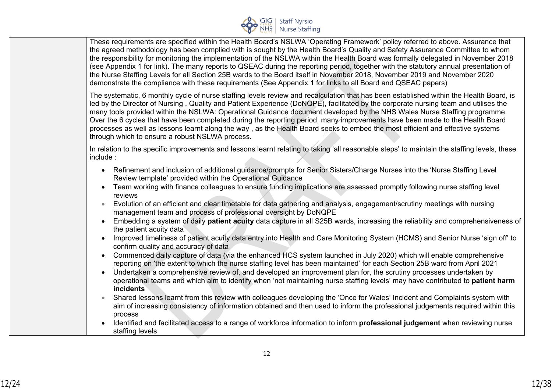

These requirements are specified within the Health Board's NSLWA 'Operating Framework' policy referred to above. Assurance that the agreed methodology has been complied with is sought by the Health Board's Quality and Safety Assurance Committee to whom the responsibility for monitoring the implementation of the NSLWA within the Health Board was formally delegated in November 2018 (see Appendix 1 for link). The many reports to QSEAC during the reporting period, together with the statutory annual presentation of the Nurse Staffing Levels for all Section 25B wards to the Board itself in November 2018, November 2019 and November 2020 demonstrate the compliance with these requirements (See Appendix 1 for links to all Board and QSEAC papers)

The systematic, 6 monthly cycle of nurse staffing levels review and recalculation that has been established within the Health Board, is led by the Director of Nursing , Quality and Patient Experience (DoNQPE), facilitated by the corporate nursing team and utilises the many tools provided within the NSLWA: Operational Guidance document developed by the NHS Wales Nurse Staffing programme. Over the 6 cycles that have been completed during the reporting period, many improvements have been made to the Health Board processes as well as lessons learnt along the way , as the Health Board seeks to embed the most efficient and effective systems through which to ensure a robust NSLWA process.

In relation to the specific improvements and lessons learnt relating to taking 'all reasonable steps' to maintain the staffing levels, these include :

- Refinement and inclusion of additional guidance/prompts for Senior Sisters/Charge Nurses into the 'Nurse Staffing Level Review template' provided within the Operational Guidance
- Team working with finance colleagues to ensure funding implications are assessed promptly following nurse staffing level reviews
- Evolution of an efficient and clear timetable for data gathering and analysis, engagement/scrutiny meetings with nursing management team and process of professional oversight by DoNQPE
- Embedding a system of daily **patient acuity** data capture in all S25B wards, increasing the reliability and comprehensiveness of the patient acuity data
- Improved timeliness of patient acuity data entry into Health and Care Monitoring System (HCMS) and Senior Nurse 'sign off' to confirm quality and accuracy of data
- Commenced daily capture of data (via the enhanced HCS system launched in July 2020) which will enable comprehensive reporting on 'the extent to which the nurse staffing level has been maintained' for each Section 25B ward from April 2021
- Undertaken a comprehensive review of, and developed an improvement plan for, the scrutiny processes undertaken by operational teams and which aim to identify when 'not maintaining nurse staffing levels' may have contributed to **patient harm incidents**
- Shared lessons learnt from this review with colleagues developing the 'Once for Wales' Incident and Complaints system with aim of increasing consistency of information obtained and then used to inform the professional judgements required within this process
- Identified and facilitated access to a range of workforce information to inform **professional judgement** when reviewing nurse staffing levels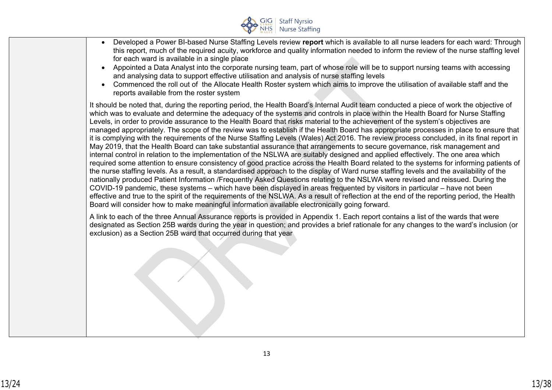

- Developed a Power BI-based Nurse Staffing Levels review **report** which is available to all nurse leaders for each ward: Through this report, much of the required acuity, workforce and quality information needed to inform the review of the nurse staffing level for each ward is available in a single place
- Appointed a Data Analyst into the corporate nursing team, part of whose role will be to support nursing teams with accessing and analysing data to support effective utilisation and analysis of nurse staffing levels
- Commenced the roll out of the Allocate Health Roster system which aims to improve the utilisation of available staff and the reports available from the roster system

It should be noted that, during the reporting period, the Health Board's Internal Audit team conducted a piece of work the objective of which was to evaluate and determine the adequacy of the systems and controls in place within the Health Board for Nurse Staffing Levels, in order to provide assurance to the Health Board that risks material to the achievement of the system's objectives are managed appropriately. The scope of the review was to establish if the Health Board has appropriate processes in place to ensure that it is complying with the requirements of the Nurse Staffing Levels (Wales) Act 2016. The review process concluded, in its final report in May 2019, that the Health Board can take substantial assurance that arrangements to secure governance, risk management and internal control in relation to the implementation of the NSLWA are suitably designed and applied effectively. The one area which required some attention to ensure consistency of good practice across the Health Board related to the systems for informing patients of the nurse staffing levels. As a result, a standardised approach to the display of Ward nurse staffing levels and the availability of the nationally produced Patient Information /Frequently Asked Questions relating to the NSLWA were revised and reissued. During the COVID-19 pandemic, these systems – which have been displayed in areas frequented by visitors in particular – have not been effective and true to the spirit of the requirements of the NSLWA. As a result of reflection at the end of the reporting period, the Health Board will consider how to make meaningful information available electronically going forward.

A link to each of the three Annual Assurance reports is provided in Appendix 1. Each report contains a list of the wards that were designated as Section 25B wards during the year in question; and provides a brief rationale for any changes to the ward's inclusion (or exclusion) as a Section 25B ward that occurred during that year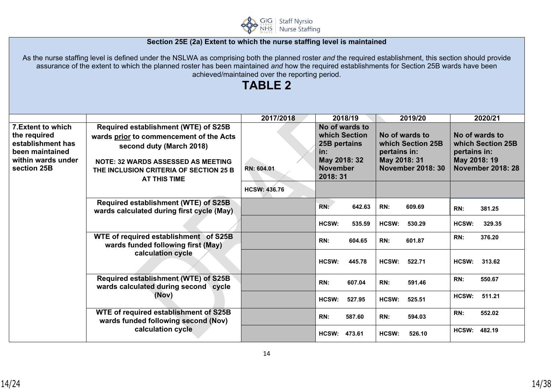

### **Section 25E (2a) Extent to which the nurse staffing level is maintained**

As the nurse staffing level is defined under the NSLWA as comprising both the planned roster *and* the required establishment, this section should provide assurance of the extent to which the planned roster has been maintained *and* how the required establishments for Section 25B wards have been achieved/maintained over the reporting period.

# **TABLE 2**

|                                                                                                                 |                                                                                                                                                                                                                           | 2017/2018                         | 2018/19                                                                                               |                              | 2019/20                                                         |                              | 2020/21                                                         |
|-----------------------------------------------------------------------------------------------------------------|---------------------------------------------------------------------------------------------------------------------------------------------------------------------------------------------------------------------------|-----------------------------------|-------------------------------------------------------------------------------------------------------|------------------------------|-----------------------------------------------------------------|------------------------------|-----------------------------------------------------------------|
| 7. Extent to which<br>the required<br>establishment has<br>been maintained<br>within wards under<br>section 25B | Required establishment (WTE) of S25B<br>wards prior to commencement of the Acts<br>second duty (March 2018)<br><b>NOTE: 32 WARDS ASSESSED AS MEETING</b><br>THE INCLUSION CRITERIA OF SECTION 25 B<br><b>AT THIS TIME</b> | RN: 604.01<br><b>HCSW: 436.76</b> | No of wards to<br>which Section<br>25B pertains<br>in:<br>May 2018: 32<br><b>November</b><br>2018: 31 | pertains in:<br>May 2018: 31 | No of wards to<br>which Section 25B<br><b>November 2018: 30</b> | pertains in:<br>May 2018: 19 | No of wards to<br>which Section 25B<br><b>November 2018: 28</b> |
|                                                                                                                 | Required establishment (WTE) of S25B<br>wards calculated during first cycle (May)                                                                                                                                         |                                   | RN:<br>642.63                                                                                         | RN:                          | 609.69                                                          | RN:                          | 381.25                                                          |
|                                                                                                                 |                                                                                                                                                                                                                           |                                   | HCSW:<br>535.59                                                                                       | HCSW:                        | 530.29                                                          | HCSW:                        | 329.35                                                          |
|                                                                                                                 | WTE of required establishment of S25B<br>wards funded following first (May)<br>calculation cycle                                                                                                                          |                                   | 604.65<br>RN:                                                                                         | RN:                          | 601.87                                                          | RN:                          | 376.20                                                          |
|                                                                                                                 |                                                                                                                                                                                                                           |                                   | HCSW:<br>445.78                                                                                       | HCSW:                        | 522.71                                                          | HCSW:                        | 313.62                                                          |
|                                                                                                                 | Required establishment (WTE) of S25B<br>wards calculated during second cycle<br>(Nov)                                                                                                                                     |                                   | RN:<br>607.04                                                                                         | RN:                          | 591.46                                                          | RN:                          | 550.67                                                          |
|                                                                                                                 |                                                                                                                                                                                                                           |                                   | HCSW:<br>527.95                                                                                       | HCSW:                        | 525.51                                                          | HCSW:                        | 511.21                                                          |
|                                                                                                                 | WTE of required establishment of S25B<br>wards funded following second (Nov)                                                                                                                                              |                                   | 587.60<br>RN:                                                                                         | RN:                          | 594.03                                                          | RN:                          | 552.02                                                          |
|                                                                                                                 | calculation cycle                                                                                                                                                                                                         |                                   | <b>HCSW:</b><br>473.61                                                                                | HCSW:                        | 526.10                                                          | <b>HCSW:</b>                 | 482.19                                                          |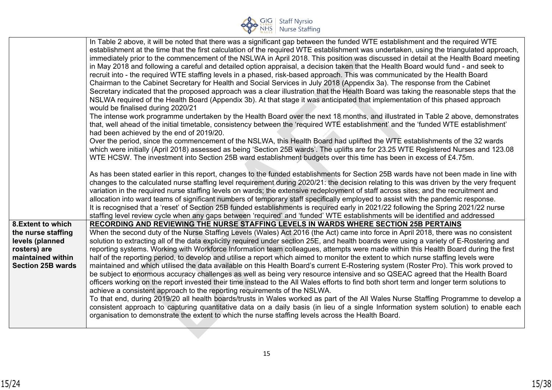

|                                                                                                                              | In Table 2 above, it will be noted that there was a significant gap between the funded WTE establishment and the required WTE<br>establishment at the time that the first calculation of the required WTE establishment was undertaken, using the triangulated approach,<br>immediately prior to the commencement of the NSLWA in April 2018. This position was discussed in detail at the Health Board meeting<br>in May 2018 and following a careful and detailed option appraisal, a decision taken that the Health Board would fund - and seek to<br>recruit into - the required WTE staffing levels in a phased, risk-based approach. This was communicated by the Health Board<br>Chairman to the Cabinet Secretary for Health and Social Services in July 2018 (Appendix 3a). The response from the Cabinet<br>Secretary indicated that the proposed approach was a clear illustration that the Health Board was taking the reasonable steps that the<br>NSLWA required of the Health Board (Appendix 3b). At that stage it was anticipated that implementation of this phased approach<br>would be finalised during 2020/21                                                                                                                                                                                                                                                                                                                                                                                                          |
|------------------------------------------------------------------------------------------------------------------------------|----------------------------------------------------------------------------------------------------------------------------------------------------------------------------------------------------------------------------------------------------------------------------------------------------------------------------------------------------------------------------------------------------------------------------------------------------------------------------------------------------------------------------------------------------------------------------------------------------------------------------------------------------------------------------------------------------------------------------------------------------------------------------------------------------------------------------------------------------------------------------------------------------------------------------------------------------------------------------------------------------------------------------------------------------------------------------------------------------------------------------------------------------------------------------------------------------------------------------------------------------------------------------------------------------------------------------------------------------------------------------------------------------------------------------------------------------------------------------------------------------------------------------------------------|
|                                                                                                                              | The intense work programme undertaken by the Health Board over the next 18 months, and illustrated in Table 2 above, demonstrates<br>that, well ahead of the initial timetable, consistency between the 'required WTE establishment' and the 'funded WTE establishment'<br>had been achieved by the end of 2019/20.                                                                                                                                                                                                                                                                                                                                                                                                                                                                                                                                                                                                                                                                                                                                                                                                                                                                                                                                                                                                                                                                                                                                                                                                                          |
|                                                                                                                              | Over the period, since the commencement of the NSLWA, this Health Board had uplifted the WTE establishments of the 32 wards<br>which were initially (April 2018) assessed as being 'Section 25B wards'. The uplifts are for 23.25 WTE Registered Nurses and 123.08<br>WTE HCSW. The investment into Section 25B ward establishment budgets over this time has been in excess of £4.75m.                                                                                                                                                                                                                                                                                                                                                                                                                                                                                                                                                                                                                                                                                                                                                                                                                                                                                                                                                                                                                                                                                                                                                      |
|                                                                                                                              | As has been stated earlier in this report, changes to the funded establishments for Section 25B wards have not been made in line with<br>changes to the calculated nurse staffing level requirement during 2020/21: the decision relating to this was driven by the very frequent<br>variation in the required nurse staffing levels on wards; the extensive redeployment of staff across sites; and the recruitment and<br>allocation into ward teams of significant numbers of temporary staff specifically employed to assist with the pandemic response.<br>It is recognised that a 'reset' of Section 25B funded establishments is required early in 2021/22 following the Spring 2021/22 nurse<br>staffing level review cycle when any gaps between 'required' and 'funded' WTE establishments will be identified and addressed                                                                                                                                                                                                                                                                                                                                                                                                                                                                                                                                                                                                                                                                                                        |
| 8. Extent to which<br>the nurse staffing<br>levels (planned<br>rosters) are<br>maintained within<br><b>Section 25B wards</b> | RECORDING AND REVIEWING THE NURSE STAFFING LEVELS IN WARDS WHERE SECTION 25B PERTAINS<br>When the second duty of the Nurse Staffing Levels (Wales) Act 2016 (the Act) came into force in April 2018, there was no consistent<br>solution to extracting all of the data explicitly required under section 25E, and health boards were using a variety of E-Rostering and<br>reporting systems. Working with Workforce Information team colleagues, attempts were made within this Health Board during the first<br>half of the reporting period, to develop and utilise a report which aimed to monitor the extent to which nurse staffing levels were<br>maintained and which utilised the data available on this Health Board's current E-Rostering system (Roster Pro). This work proved to<br>be subject to enormous accuracy challenges as well as being very resource intensive and so QSEAC agreed that the Health Board<br>officers working on the report invested their time instead to the All Wales efforts to find both short term and longer term solutions to<br>achieve a consistent approach to the reporting requirements of the NSLWA.<br>To that end, during 2019/20 all health boards/trusts in Wales worked as part of the All Wales Nurse Staffing Programme to develop a<br>consistent approach to capturing quantitative data on a daily basis (in lieu of a single Information system solution) to enable each<br>organisation to demonstrate the extent to which the nurse staffing levels across the Health Board. |
|                                                                                                                              |                                                                                                                                                                                                                                                                                                                                                                                                                                                                                                                                                                                                                                                                                                                                                                                                                                                                                                                                                                                                                                                                                                                                                                                                                                                                                                                                                                                                                                                                                                                                              |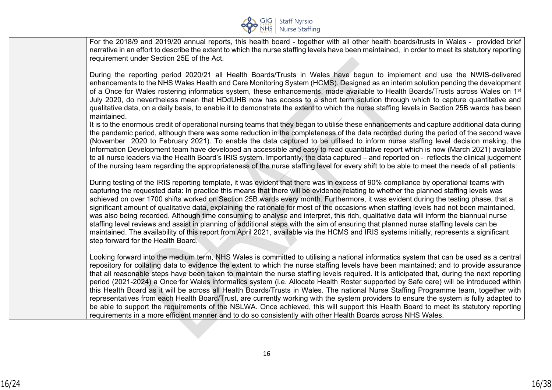

For the 2018/9 and 2019/20 annual reports, this health board - together with all other health boards/trusts in Wales - provided brief narrative in an effort to describe the extent to which the nurse staffing levels have been maintained, in order to meet its statutory reporting requirement under Section 25E of the Act.

During the reporting period 2020/21 all Health Boards/Trusts in Wales have begun to implement and use the NWIS-delivered enhancements to the NHS Wales Health and Care Monitoring System (HCMS). Designed as an interim solution pending the development of a Once for Wales rostering informatics system, these enhancements, made available to Health Boards/Trusts across Wales on 1<sup>st</sup> July 2020, do nevertheless mean that HDdUHB now has access to a short term solution through which to capture quantitative and qualitative data, on a daily basis, to enable it to demonstrate the extent to which the nurse staffing levels in Section 25B wards has been maintained.

It is to the enormous credit of operational nursing teams that they began to utilise these enhancements and capture additional data during the pandemic period, although there was some reduction in the completeness of the data recorded during the period of the second wave (November 2020 to February 2021). To enable the data captured to be utilised to inform nurse staffing level decision making, the Information Development team have developed an accessible and easy to read quantitative report which is now (March 2021) available to all nurse leaders via the Health Board's IRIS system. Importantly, the data captured – and reported on - reflects the clinical judgement of the nursing team regarding the appropriateness of the nurse staffing level for every shift to be able to meet the needs of all patients:

During testing of the IRIS reporting template, it was evident that there was in excess of 90% compliance by operational teams with capturing the requested data: In practice this means that there will be evidence relating to whether the planned staffing levels was achieved on over 1700 shifts worked on Section 25B wards every month. Furthermore, it was evident during the testing phase, that a significant amount of qualitative data, explaining the rationale for most of the occasions when staffing levels had not been maintained, was also being recorded. Although time consuming to analyse and interpret, this rich, qualitative data will inform the biannual nurse staffing level reviews and assist in planning of additional steps with the aim of ensuring that planned nurse staffing levels can be maintained. The availability of this report from April 2021, available via the HCMS and IRIS systems initially, represents a significant step forward for the Health Board.

Looking forward into the medium term, NHS Wales is committed to utilising a national informatics system that can be used as a central repository for collating data to evidence the extent to which the nurse staffing levels have been maintained; and to provide assurance that all reasonable steps have been taken to maintain the nurse staffing levels required. It is anticipated that, during the next reporting period (2021-2024) a Once for Wales informatics system (i.e. Allocate Health Roster supported by Safe care) will be introduced within this Health Board as it will be across all Health Boards/Trusts in Wales. The national Nurse Staffing Programme team, together with representatives from each Health Board/Trust, are currently working with the system providers to ensure the system is fully adapted to be able to support the requirements of the NSLWA. Once achieved, this will support this Health Board to meet its statutory reporting requirements in a more efficient manner and to do so consistently with other Health Boards across NHS Wales.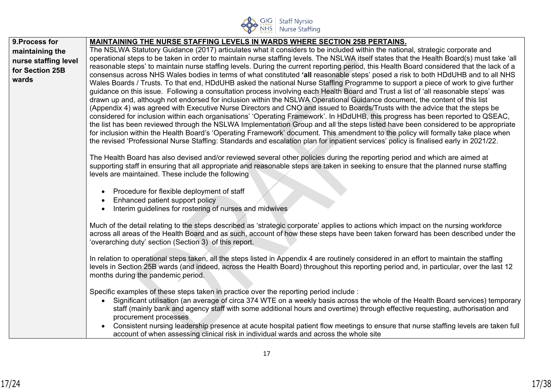

| 9. Process for       | <b>MAINTAINING THE NURSE STAFFING LEVELS IN WARDS WHERE SECTION 25B PERTAINS.</b>                                                                                                                                                                                                    |
|----------------------|--------------------------------------------------------------------------------------------------------------------------------------------------------------------------------------------------------------------------------------------------------------------------------------|
| maintaining the      | The NSLWA Statutory Guidance (2017) articulates what it considers to be included within the national, strategic corporate and                                                                                                                                                        |
| nurse staffing level | operational steps to be taken in order to maintain nurse staffing levels. The NSLWA itself states that the Health Board(s) must take 'all                                                                                                                                            |
| for Section 25B      | reasonable steps' to maintain nurse staffing levels. During the current reporting period, this Health Board considered that the lack of a<br>consensus across NHS Wales bodies in terms of what constituted 'all reasonable steps' posed a risk to both HDdUHB and to all NHS        |
| wards                | Wales Boards / Trusts. To that end, HDdUHB asked the national Nurse Staffing Programme to support a piece of work to give further                                                                                                                                                    |
|                      | guidance on this issue. Following a consultation process involving each Health Board and Trust a list of 'all reasonable steps' was                                                                                                                                                  |
|                      | drawn up and, although not endorsed for inclusion within the NSLWA Operational Guidance document, the content of this list                                                                                                                                                           |
|                      | (Appendix 4) was agreed with Executive Nurse Directors and CNO and issued to Boards/Trusts with the advice that the steps be<br>considered for inclusion within each organisations' 'Operating Framework'. In HDdUHB, this progress has been reported to QSEAC,                      |
|                      | the list has been reviewed through the NSLWA Implementation Group and all the steps listed have been considered to be appropriate                                                                                                                                                    |
|                      | for inclusion within the Health Board's 'Operating Framework' document. This amendment to the policy will formally take place when                                                                                                                                                   |
|                      | the revised 'Professional Nurse Staffing: Standards and escalation plan for inpatient services' policy is finalised early in 2021/22.                                                                                                                                                |
|                      | The Health Board has also devised and/or reviewed several other policies during the reporting period and which are aimed at                                                                                                                                                          |
|                      | supporting staff in ensuring that all appropriate and reasonable steps are taken in seeking to ensure that the planned nurse staffing                                                                                                                                                |
|                      | levels are maintained. These include the following                                                                                                                                                                                                                                   |
|                      | Procedure for flexible deployment of staff                                                                                                                                                                                                                                           |
|                      | Enhanced patient support policy                                                                                                                                                                                                                                                      |
|                      | Interim guidelines for rostering of nurses and midwives                                                                                                                                                                                                                              |
|                      |                                                                                                                                                                                                                                                                                      |
|                      | Much of the detail relating to the steps described as 'strategic corporate' applies to actions which impact on the nursing workforce<br>across all areas of the Health Board and as such, account of how these steps have been taken forward has been described under the            |
|                      | 'overarching duty' section (Section 3) of this report.                                                                                                                                                                                                                               |
|                      |                                                                                                                                                                                                                                                                                      |
|                      | In relation to operational steps taken, all the steps listed in Appendix 4 are routinely considered in an effort to maintain the staffing<br>levels in Section 25B wards (and indeed, across the Health Board) throughout this reporting period and, in particular, over the last 12 |
|                      | months during the pandemic period.                                                                                                                                                                                                                                                   |
|                      |                                                                                                                                                                                                                                                                                      |
|                      | Specific examples of these steps taken in practice over the reporting period include :                                                                                                                                                                                               |
|                      | Significant utilisation (an average of circa 374 WTE on a weekly basis across the whole of the Health Board services) temporary<br>$\bullet$<br>staff (mainly bank and agency staff with some additional hours and overtime) through effective requesting, authorisation and         |
|                      | procurement processes                                                                                                                                                                                                                                                                |
|                      | Consistent nursing leadership presence at acute hospital patient flow meetings to ensure that nurse staffing levels are taken full<br>$\bullet$                                                                                                                                      |
|                      | account of when assessing clinical risk in individual wards and across the whole site                                                                                                                                                                                                |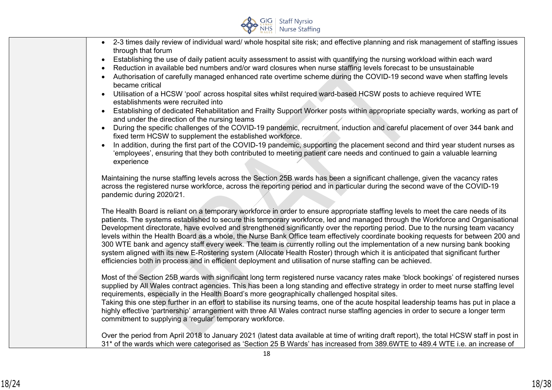

- 2-3 times daily review of individual ward/ whole hospital site risk; and effective planning and risk management of staffing issues through that forum
- Establishing the use of daily patient acuity assessment to assist with quantifying the nursing workload within each ward
- Reduction in available bed numbers and/or ward closures when nurse staffing levels forecast to be unsustainable
- Authorisation of carefully managed enhanced rate overtime scheme during the COVID-19 second wave when staffing levels became critical
- Utilisation of a HCSW 'pool' across hospital sites whilst required ward-based HCSW posts to achieve required WTE establishments were recruited into
- Establishing of dedicated Rehabilitation and Frailty Support Worker posts within appropriate specialty wards, working as part of and under the direction of the nursing teams
- During the specific challenges of the COVID-19 pandemic, recruitment, induction and careful placement of over 344 bank and fixed term HCSW to supplement the established workforce.
- In addition, during the first part of the COVID-19 pandemic, supporting the placement second and third year student nurses as 'employees', ensuring that they both contributed to meeting patient care needs and continued to gain a valuable learning experience

Maintaining the nurse staffing levels across the Section 25B wards has been a significant challenge, given the vacancy rates across the registered nurse workforce, across the reporting period and in particular during the second wave of the COVID-19 pandemic during 2020/21.

The Health Board is reliant on a temporary workforce in order to ensure appropriate staffing levels to meet the care needs of its patients. The systems established to secure this temporary workforce, led and managed through the Workforce and Organisational Development directorate, have evolved and strengthened significantly over the reporting period. Due to the nursing team vacancy levels within the Health Board as a whole, the Nurse Bank Office team effectively coordinate booking requests for between 200 and 300 WTE bank and agency staff every week. The team is currently rolling out the implementation of a new nursing bank booking system aligned with its new E-Rostering system (Allocate Health Roster) through which it is anticipated that significant further efficiencies both in process and in efficient deployment and utilisation of nurse staffing can be achieved.

Most of the Section 25B wards with significant long term registered nurse vacancy rates make 'block bookings' of registered nurses supplied by All Wales contract agencies. This has been a long standing and effective strategy in order to meet nurse staffing level requirements, especially in the Health Board's more geographically challenged hospital sites.

Taking this one step further in an effort to stabilise its nursing teams, one of the acute hospital leadership teams has put in place a highly effective 'partnership' arrangement with three All Wales contract nurse staffing agencies in order to secure a longer term commitment to supplying a 'regular' temporary workforce.

Over the period from April 2018 to January 2021 (latest data available at time of writing draft report), the total HCSW staff in post in 31\* of the wards which were categorised as 'Section 25 B Wards' has increased from 389.6WTE to 489.4 WTE i.e. an increase of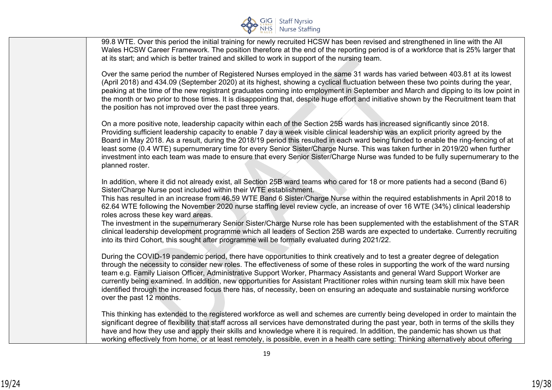

99.8 WTE. Over this period the initial training for newly recruited HCSW has been revised and strengthened in line with the All Wales HCSW Career Framework. The position therefore at the end of the reporting period is of a workforce that is 25% larger that at its start; and which is better trained and skilled to work in support of the nursing team.

Over the same period the number of Registered Nurses employed in the same 31 wards has varied between 403.81 at its lowest (April 2018) and 434.09 (September 2020) at its highest, showing a cyclical fluctuation between these two points during the year, peaking at the time of the new registrant graduates coming into employment in September and March and dipping to its low point in the month or two prior to those times. It is disappointing that, despite huge effort and initiative shown by the Recruitment team that the position has not improved over the past three years.

On a more positive note, leadership capacity within each of the Section 25B wards has increased significantly since 2018. Providing sufficient leadership capacity to enable 7 day a week visible clinical leadership was an explicit priority agreed by the Board in May 2018. As a result, during the 2018/19 period this resulted in each ward being funded to enable the ring-fencing of at least some (0.4 WTE) supernumerary time for every Senior Sister/Charge Nurse. This was taken further in 2019/20 when further investment into each team was made to ensure that every Senior Sister/Charge Nurse was funded to be fully supernumerary to the planned roster.

In addition, where it did not already exist, all Section 25B ward teams who cared for 18 or more patients had a second (Band 6) Sister/Charge Nurse post included within their WTE establishment.

This has resulted in an increase from 46.59 WTE Band 6 Sister/Charge Nurse within the required establishments in April 2018 to 62.64 WTE following the November 2020 nurse staffing level review cycle, an increase of over 16 WTE (34%) clinical leadership roles across these key ward areas.

The investment in the supernumerary Senior Sister/Charge Nurse role has been supplemented with the establishment of the STAR clinical leadership development programme which all leaders of Section 25B wards are expected to undertake. Currently recruiting into its third Cohort, this sought after programme will be formally evaluated during 2021/22.

During the COVID-19 pandemic period, there have opportunities to think creatively and to test a greater degree of delegation through the necessity to consider new roles. The effectiveness of some of these roles in supporting the work of the ward nursing team e.g. Family Liaison Officer, Administrative Support Worker, Pharmacy Assistants and general Ward Support Worker are currently being examined. In addition, new opportunities for Assistant Practitioner roles within nursing team skill mix have been identified through the increased focus there has, of necessity, been on ensuring an adequate and sustainable nursing workforce over the past 12 months.

This thinking has extended to the registered workforce as well and schemes are currently being developed in order to maintain the significant degree of flexibility that staff across all services have demonstrated during the past year, both in terms of the skills they have and how they use and apply their skills and knowledge where it is required. In addition, the pandemic has shown us that working effectively from home, or at least remotely, is possible, even in a health care setting: Thinking alternatively about offering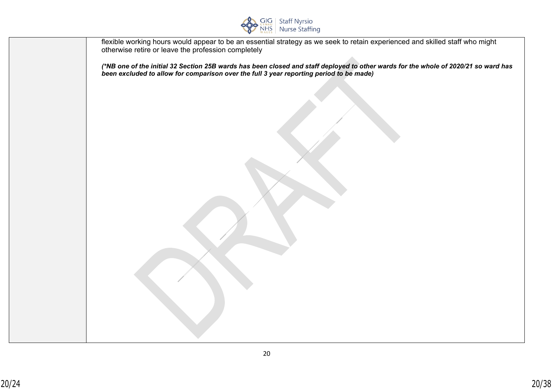

| flexible working hours would appear to be an essential strategy as we seek to retain experienced and skilled staff who might<br>otherwise retire or leave the profession completely                                            |
|--------------------------------------------------------------------------------------------------------------------------------------------------------------------------------------------------------------------------------|
| (*NB one of the initial 32 Section 25B wards has been closed and staff deployed to other wards for the whole of 2020/21 so ward has<br>been excluded to allow for comparison over the full 3 year reporting period to be made) |
|                                                                                                                                                                                                                                |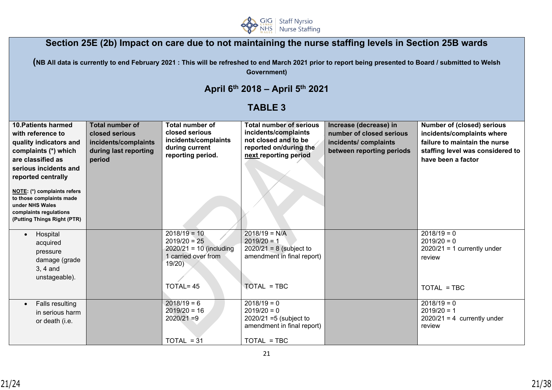

# **Section 25E (2b) Impact on care due to not maintaining the nurse staffing levels in Section 25B wards**

**(NB All data is currently to end February 2021 : This will be refreshed to end March 2021 prior to report being presented to Board / submitted to Welsh Government)**

# **April 6th 2018 – April 5th 2021**

# **TABLE 3**

| 10. Patients harmed<br>with reference to<br>quality indicators and<br>complaints (*) which<br>are classified as<br>serious incidents and<br>reported centrally<br>NOTE: (*) complaints refers<br>to those complaints made<br>under NHS Wales<br>complaints regulations<br>(Putting Things Right (PTR) | <b>Total number of</b><br>closed serious<br>incidents/complaints<br>during last reporting<br>period | Total number of<br>closed serious<br>incidents/complaints<br>during current<br>reporting period.          | <b>Total number of serious</b><br>incidents/complaints<br>not closed and to be<br>reported on/during the<br>next reporting period | Increase (decrease) in<br>number of closed serious<br>incidents/complaints<br>between reporting periods | <b>Number of (closed) serious</b><br>incidents/complaints where<br>failure to maintain the nurse<br>staffing level was considered to<br>have been a factor |
|-------------------------------------------------------------------------------------------------------------------------------------------------------------------------------------------------------------------------------------------------------------------------------------------------------|-----------------------------------------------------------------------------------------------------|-----------------------------------------------------------------------------------------------------------|-----------------------------------------------------------------------------------------------------------------------------------|---------------------------------------------------------------------------------------------------------|------------------------------------------------------------------------------------------------------------------------------------------------------------|
| Hospital<br>$\bullet$<br>acquired<br>pressure<br>damage (grade<br>$3, 4$ and<br>unstageable).                                                                                                                                                                                                         |                                                                                                     | $2018/19 = 10$<br>$2019/20 = 25$<br>$2020/21 = 10$ (including<br>1 carried over from<br>19/20<br>TOTAL=45 | $2018/19 = N/A$<br>$2019/20 = 1$<br>$2020/21 = 8$ (subject to<br>amendment in final report)<br>TOTAL = TBC                        |                                                                                                         | $2018/19 = 0$<br>$2019/20 = 0$<br>$2020/21 = 1$ currently under<br>review<br>TOTAL = TBC                                                                   |
| Falls resulting<br>$\bullet$<br>in serious harm<br>or death (i.e.                                                                                                                                                                                                                                     |                                                                                                     | $2018/19 = 6$<br>$2019/20 = 16$<br>$2020/21 = 9$<br>$TOTAL = 31$                                          | $2018/19 = 0$<br>$2019/20 = 0$<br>$2020/21 = 5$ (subject to<br>amendment in final report)<br>TOTAL = TBC                          |                                                                                                         | $2018/19 = 0$<br>$2019/20 = 1$<br>$2020/21 = 4$ currently under<br>review                                                                                  |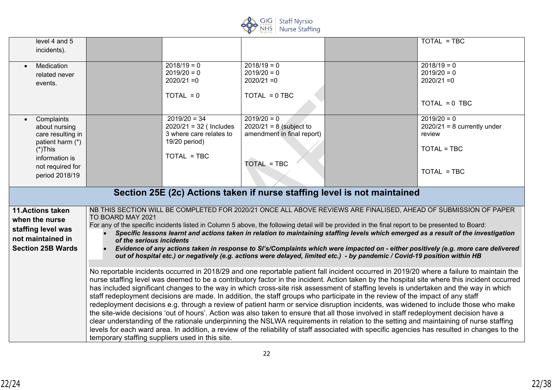

| level 4 and 5<br>incidents).                                                                                     |                                                                                                                                                                                                                                                                                                                                                                                                                                                                                                                                                                                                                                                                                                                                                                                                                                                                                                                                                                                                                                                                                                                                                                                                |                                                                                        |                                                                          |                                                                                                                                                                                                                                                                              | TOTAL = TBC                                                                                                                                                                                                                                                                                                                                                                                  |
|------------------------------------------------------------------------------------------------------------------|------------------------------------------------------------------------------------------------------------------------------------------------------------------------------------------------------------------------------------------------------------------------------------------------------------------------------------------------------------------------------------------------------------------------------------------------------------------------------------------------------------------------------------------------------------------------------------------------------------------------------------------------------------------------------------------------------------------------------------------------------------------------------------------------------------------------------------------------------------------------------------------------------------------------------------------------------------------------------------------------------------------------------------------------------------------------------------------------------------------------------------------------------------------------------------------------|----------------------------------------------------------------------------------------|--------------------------------------------------------------------------|------------------------------------------------------------------------------------------------------------------------------------------------------------------------------------------------------------------------------------------------------------------------------|----------------------------------------------------------------------------------------------------------------------------------------------------------------------------------------------------------------------------------------------------------------------------------------------------------------------------------------------------------------------------------------------|
| Medication<br>$\bullet$<br>related never<br>events.                                                              |                                                                                                                                                                                                                                                                                                                                                                                                                                                                                                                                                                                                                                                                                                                                                                                                                                                                                                                                                                                                                                                                                                                                                                                                | $2018/19 = 0$<br>$2019/20 = 0$<br>$2020/21 = 0$                                        | $2018/19 = 0$<br>$2019/20 = 0$<br>$2020/21 = 0$                          |                                                                                                                                                                                                                                                                              | $2018/19 = 0$<br>$2019/20 = 0$<br>$2020/21 = 0$                                                                                                                                                                                                                                                                                                                                              |
|                                                                                                                  |                                                                                                                                                                                                                                                                                                                                                                                                                                                                                                                                                                                                                                                                                                                                                                                                                                                                                                                                                                                                                                                                                                                                                                                                | $TOTAL = 0$                                                                            | $TOTAL = 0 TBC$                                                          |                                                                                                                                                                                                                                                                              | $TOTAL = 0 TBC$                                                                                                                                                                                                                                                                                                                                                                              |
| Complaints<br>$\bullet$<br>about nursing<br>care resulting in<br>patient harm (*)                                |                                                                                                                                                                                                                                                                                                                                                                                                                                                                                                                                                                                                                                                                                                                                                                                                                                                                                                                                                                                                                                                                                                                                                                                                | $2019/20 = 34$<br>$2020/21 = 32$ (Includes<br>3 where care relates to<br>19/20 period) | $2019/20 = 0$<br>$2020/21 = 8$ (subject to<br>amendment in final report) |                                                                                                                                                                                                                                                                              | $2019/20 = 0$<br>$2020/21 = 8$ currently under<br>review                                                                                                                                                                                                                                                                                                                                     |
| $(*)$ This<br>information is<br>not required for                                                                 |                                                                                                                                                                                                                                                                                                                                                                                                                                                                                                                                                                                                                                                                                                                                                                                                                                                                                                                                                                                                                                                                                                                                                                                                | $TOTAL = TBC$                                                                          | <b>TOTAL = TBC</b>                                                       |                                                                                                                                                                                                                                                                              | TOTAL = TBC                                                                                                                                                                                                                                                                                                                                                                                  |
| period 2018/19                                                                                                   |                                                                                                                                                                                                                                                                                                                                                                                                                                                                                                                                                                                                                                                                                                                                                                                                                                                                                                                                                                                                                                                                                                                                                                                                |                                                                                        |                                                                          | Section 25E (2c) Actions taken if nurse staffing level is not maintained                                                                                                                                                                                                     | TOTAL = TBC                                                                                                                                                                                                                                                                                                                                                                                  |
|                                                                                                                  |                                                                                                                                                                                                                                                                                                                                                                                                                                                                                                                                                                                                                                                                                                                                                                                                                                                                                                                                                                                                                                                                                                                                                                                                |                                                                                        |                                                                          |                                                                                                                                                                                                                                                                              |                                                                                                                                                                                                                                                                                                                                                                                              |
| <b>11.Actions taken</b><br>when the nurse<br>staffing level was<br>not maintained in<br><b>Section 25B Wards</b> | TO BOARD MAY 2021<br>of the serious incidents                                                                                                                                                                                                                                                                                                                                                                                                                                                                                                                                                                                                                                                                                                                                                                                                                                                                                                                                                                                                                                                                                                                                                  |                                                                                        |                                                                          | For any of the specific incidents listed in Column 5 above, the following detail will be provided in the final report to be presented to Board:<br>out of hospital etc.) or negatively (e.g. actions were delayed, limited etc.) - by pandemic / Covid-19 position within HB | NB THIS SECTION WILL BE COMPLETED FOR 2020/21 ONCE ALL ABOVE REVIEWS ARE FINALISED, AHEAD OF SUBMISSION OF PAPER<br>Specific lessons learnt and actions taken in relation to maintaining staffing levels which emerged as a result of the investigation<br>Evidence of any actions taken in response to SI's/Complaints which were impacted on - either positively (e.g. more care delivered |
|                                                                                                                  | No reportable incidents occurred in 2018/29 and one reportable patient fall incident occurred in 2019/20 where a failure to maintain the<br>nurse staffing level was deemed to be a contributory factor in the incident. Action taken by the hospital site where this incident occurred<br>has included significant changes to the way in which cross-site risk assessment of staffing levels is undertaken and the way in which<br>staff redeployment decisions are made. In addition, the staff groups who participate in the review of the impact of any staff<br>redeployment decisions e.g. through a review of patient harm or service disruption incidents, was widened to include those who make<br>the site-wide decisions 'out of hours'. Action was also taken to ensure that all those involved in staff redeployment decision have a<br>clear understanding of the rationale underpinning the NSLWA requirements in relation to the setting and maintaining of nurse staffing<br>levels for each ward area. In addition, a review of the reliability of staff associated with specific agencies has resulted in changes to the<br>temporary staffing suppliers used in this site. |                                                                                        |                                                                          |                                                                                                                                                                                                                                                                              |                                                                                                                                                                                                                                                                                                                                                                                              |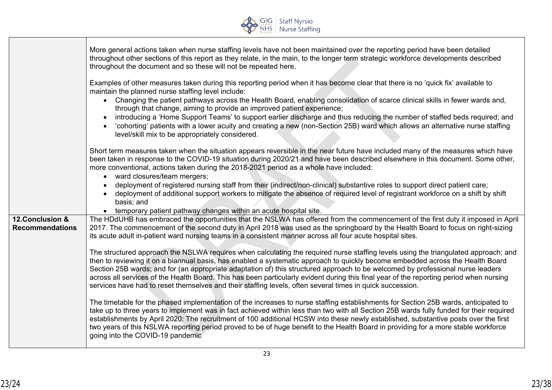

|                                            | More general actions taken when nurse staffing levels have not been maintained over the reporting period have been detailed<br>throughout other sections of this report as they relate, in the main, to the longer term strategic workforce developments described<br>throughout the document and so these will not be repeated here.                                                                                                                                                                                                                                                                                                                                                                                                                                                                                                                                                                                                                                                                                                                  |
|--------------------------------------------|--------------------------------------------------------------------------------------------------------------------------------------------------------------------------------------------------------------------------------------------------------------------------------------------------------------------------------------------------------------------------------------------------------------------------------------------------------------------------------------------------------------------------------------------------------------------------------------------------------------------------------------------------------------------------------------------------------------------------------------------------------------------------------------------------------------------------------------------------------------------------------------------------------------------------------------------------------------------------------------------------------------------------------------------------------|
|                                            | Examples of other measures taken during this reporting period when it has become clear that there is no 'quick fix' available to<br>maintain the planned nurse staffing level include:<br>• Changing the patient pathways across the Health Board, enabling consolidation of scarce clinical skills in fewer wards and,<br>through that change, aiming to provide an improved patient experience;<br>introducing a 'Home Support Teams' to support earlier discharge and thus reducing the number of staffed beds required; and<br>'cohorting' patients with a lower acuity and creating a new (non-Section 25B) ward which allows an alternative nurse staffing<br>level/skill mix to be appropriately considered.                                                                                                                                                                                                                                                                                                                                    |
|                                            | Short term measures taken when the situation appears reversible in the near future have included many of the measures which have<br>been taken in response to the COVID-19 situation during 2020/21 and have been described elsewhere in this document. Some other,<br>more conventional, actions taken during the 2018-2021 period as a whole have included:<br>ward closures/team mergers;<br>$\bullet$<br>deployment of registered nursing staff from their (indirect/non-clinical) substantive roles to support direct patient care;<br>$\bullet$<br>deployment of additional support workers to mitigate the absence of required level of registrant workforce on a shift by shift<br>$\bullet$<br>basis; and<br>• temporary patient pathway changes within an acute hospital site.                                                                                                                                                                                                                                                               |
| 12. Conclusion &<br><b>Recommendations</b> | The HDdUHB has embraced the opportunities that the NSLWA has offered from the commencement of the first duty it imposed in April<br>2017. The commencement of the second duty in April 2018 was used as the springboard by the Health Board to focus on right-sizing<br>its acute adult in-patient ward nursing teams in a consistent manner across all four acute hospital sites.<br>The structured approach the NSLWA requires when calculating the required nurse staffing levels using the triangulated approach; and<br>then to reviewing it on a biannual basis, has enabled a systematic approach to quickly become embedded across the Health Board<br>Section 25B wards; and for (an appropriate adaptation of) this structured approach to be welcomed by professional nurse leaders<br>across all services of the Health Board. This has been particularly evident during this final year of the reporting period when nursing<br>services have had to reset themselves and their staffing levels, often several times in quick succession. |
|                                            | The timetable for the phased implementation of the increases to nurse staffing establishments for Section 25B wards, anticipated to<br>take up to three years to implement was in fact achieved within less than two with all Section 25B wards fully funded for their required<br>establishments by April 2020: The recruitment of 100 additional HCSW into these newly established, substantive posts over the first<br>two years of this NSLWA reporting period proved to be of huge benefit to the Health Board in providing for a more stable workforce<br>going into the COVID-19 pandemic                                                                                                                                                                                                                                                                                                                                                                                                                                                       |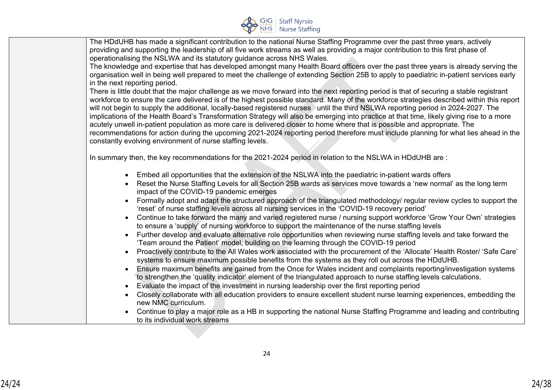

| The HDdUHB has made a significant contribution to the national Nurse Staffing Programme over the past three years, actively<br>providing and supporting the leadership of all five work streams as well as providing a major contribution to this first phase of<br>operationalising the NSLWA and its statutory guidance across NHS Wales.                                                                                |  |
|----------------------------------------------------------------------------------------------------------------------------------------------------------------------------------------------------------------------------------------------------------------------------------------------------------------------------------------------------------------------------------------------------------------------------|--|
| The knowledge and expertise that has developed amongst many Health Board officers over the past three years is already serving the<br>organisation well in being well prepared to meet the challenge of extending Section 25B to apply to paediatric in-patient services early                                                                                                                                             |  |
| in the next reporting period.                                                                                                                                                                                                                                                                                                                                                                                              |  |
| There is little doubt that the major challenge as we move forward into the next reporting period is that of securing a stable registrant<br>workforce to ensure the care delivered is of the highest possible standard. Many of the workforce strategies described within this report<br>will not begin to supply the additional, locally-based registered nurses until the third NSLWA reporting period in 2024-2027. The |  |
| implications of the Health Board's Transformation Strategy will also be emerging into practice at that time, likely giving rise to a more<br>acutely unwell in-patient population as more care is delivered closer to home where that is possible and appropriate. The<br>recommendations for action during the upcoming 2021-2024 reporting period therefore must include planning for what lies ahead in the             |  |
| constantly evolving environment of nurse staffing levels.                                                                                                                                                                                                                                                                                                                                                                  |  |
| In summary then, the key recommendations for the 2021-2024 period in relation to the NSLWA in HDdUHB are :                                                                                                                                                                                                                                                                                                                 |  |
| • Embed all opportunities that the extension of the NSLWA into the paediatric in-patient wards offers                                                                                                                                                                                                                                                                                                                      |  |
| Reset the Nurse Staffing Levels for all Section 25B wards as services move towards a 'new normal' as the long term<br>impact of the COVID-19 pandemic emerges                                                                                                                                                                                                                                                              |  |
| Formally adopt and adapt the structured approach of the triangulated methodology/ regular review cycles to support the<br>'reset' of nurse staffing levels across all nursing services in the 'COVID-19 recovery period'                                                                                                                                                                                                   |  |
| Continue to take forward the many and varied registered nurse / nursing support workforce 'Grow Your Own' strategies<br>to ensure a 'supply' of nursing workforce to support the maintenance of the nurse staffing levels                                                                                                                                                                                                  |  |
| Further develop and evaluate alternative role opportunities when reviewing nurse staffing levels and take forward the<br>$\bullet$<br>'Team around the Patient' model, building on the learning through the COVID-19 period                                                                                                                                                                                                |  |
| Proactively contribute to the All Wales work associated with the procurement of the 'Allocate' Health Roster/ 'Safe Care'<br>systems to ensure maximum possible benefits from the systems as they roll out across the HDdUHB.                                                                                                                                                                                              |  |
| Ensure maximum benefits are gained from the Once for Wales incident and complaints reporting/investigation systems<br>to strengthen the 'quality indicator' element of the triangulated approach to nurse staffing levels calculations.                                                                                                                                                                                    |  |
| Evaluate the impact of the investment in nursing leadership over the first reporting period                                                                                                                                                                                                                                                                                                                                |  |
| Closely collaborate with all education providers to ensure excellent student nurse learning experiences, embedding the<br>new NMC curriculum.                                                                                                                                                                                                                                                                              |  |
| Continue to play a major role as a HB in supporting the national Nurse Staffing Programme and leading and contributing<br>to its individual work streams                                                                                                                                                                                                                                                                   |  |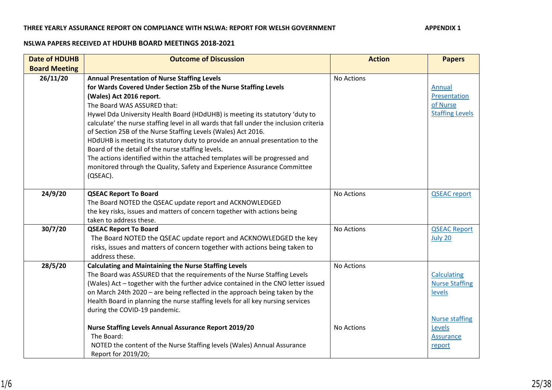#### THREE YEARLY ASSURANCE REPORT ON COMPLIANCE WITH NSLWA: REPORT FOR WELSH GOVERNMENT APPENDIX 1

#### **NSLWA PAPERS RECEIVED AT HDUHB BOARD MEETINGS 2018-2021**

| <b>Date of HDUHB</b> | <b>Outcome of Discussion</b>                                                                                                                                                                                                                                                                                                                                                                                                                                                                                                                                                                                                                                                                                                                | <b>Action</b> | <b>Papers</b>                                                 |
|----------------------|---------------------------------------------------------------------------------------------------------------------------------------------------------------------------------------------------------------------------------------------------------------------------------------------------------------------------------------------------------------------------------------------------------------------------------------------------------------------------------------------------------------------------------------------------------------------------------------------------------------------------------------------------------------------------------------------------------------------------------------------|---------------|---------------------------------------------------------------|
| <b>Board Meeting</b> |                                                                                                                                                                                                                                                                                                                                                                                                                                                                                                                                                                                                                                                                                                                                             |               |                                                               |
| 26/11/20             | <b>Annual Presentation of Nurse Staffing Levels</b><br>for Wards Covered Under Section 25b of the Nurse Staffing Levels<br>(Wales) Act 2016 report.<br>The Board WAS ASSURED that:<br>Hywel Dda University Health Board (HDdUHB) is meeting its statutory 'duty to<br>calculate' the nurse staffing level in all wards that fall under the inclusion criteria<br>of Section 25B of the Nurse Staffing Levels (Wales) Act 2016.<br>HDdUHB is meeting its statutory duty to provide an annual presentation to the<br>Board of the detail of the nurse staffing levels.<br>The actions identified within the attached templates will be progressed and<br>monitored through the Quality, Safety and Experience Assurance Committee<br>(QSEAC). | No Actions    | Annual<br>Presentation<br>of Nurse<br><b>Staffing Levels</b>  |
| 24/9/20              | <b>QSEAC Report To Board</b><br>The Board NOTED the QSEAC update report and ACKNOWLEDGED<br>the key risks, issues and matters of concern together with actions being<br>taken to address these.                                                                                                                                                                                                                                                                                                                                                                                                                                                                                                                                             | No Actions    | <b>QSEAC</b> report                                           |
| 30/7/20              | <b>QSEAC Report To Board</b><br>The Board NOTED the QSEAC update report and ACKNOWLEDGED the key<br>risks, issues and matters of concern together with actions being taken to<br>address these.                                                                                                                                                                                                                                                                                                                                                                                                                                                                                                                                             | No Actions    | <b>QSEAC Report</b><br>July 20                                |
| 28/5/20              | <b>Calculating and Maintaining the Nurse Staffing Levels</b><br>The Board was ASSURED that the requirements of the Nurse Staffing Levels<br>(Wales) Act - together with the further advice contained in the CNO letter issued<br>on March 24th 2020 - are being reflected in the approach being taken by the<br>Health Board in planning the nurse staffing levels for all key nursing services<br>during the COVID-19 pandemic.                                                                                                                                                                                                                                                                                                            | No Actions    | <b>Calculating</b><br><b>Nurse Staffing</b><br>levels         |
|                      | <b>Nurse Staffing Levels Annual Assurance Report 2019/20</b><br>The Board:<br>NOTED the content of the Nurse Staffing levels (Wales) Annual Assurance<br>Report for 2019/20;                                                                                                                                                                                                                                                                                                                                                                                                                                                                                                                                                                | No Actions    | <b>Nurse staffing</b><br>Levels<br><b>Assurance</b><br>report |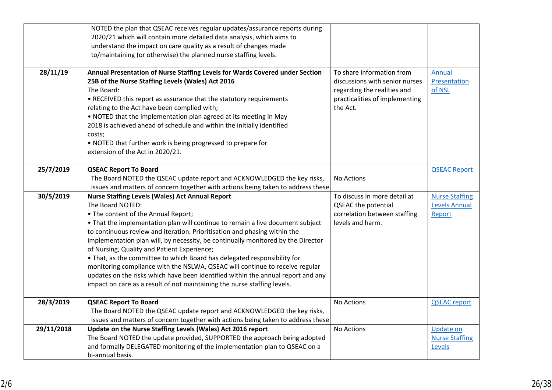|            | NOTED the plan that QSEAC receives regular updates/assurance reports during<br>2020/21 which will contain more detailed data analysis, which aims to |                                |                       |
|------------|------------------------------------------------------------------------------------------------------------------------------------------------------|--------------------------------|-----------------------|
|            | understand the impact on care quality as a result of changes made                                                                                    |                                |                       |
|            | to/maintaining (or otherwise) the planned nurse staffing levels.                                                                                     |                                |                       |
|            |                                                                                                                                                      |                                |                       |
| 28/11/19   | Annual Presentation of Nurse Staffing Levels for Wards Covered under Section                                                                         | To share information from      | Annual                |
|            | 25B of the Nurse Staffing Levels (Wales) Act 2016                                                                                                    | discussions with senior nurses | Presentation          |
|            | The Board:                                                                                                                                           | regarding the realities and    | of NSL                |
|            | • RECEIVED this report as assurance that the statutory requirements                                                                                  | practicalities of implementing |                       |
|            | relating to the Act have been complied with;                                                                                                         | the Act.                       |                       |
|            | . NOTED that the implementation plan agreed at its meeting in May                                                                                    |                                |                       |
|            | 2018 is achieved ahead of schedule and within the initially identified                                                                               |                                |                       |
|            | costs;                                                                                                                                               |                                |                       |
|            | . NOTED that further work is being progressed to prepare for                                                                                         |                                |                       |
|            | extension of the Act in 2020/21.                                                                                                                     |                                |                       |
|            |                                                                                                                                                      |                                |                       |
| 25/7/2019  | <b>QSEAC Report To Board</b>                                                                                                                         |                                | <b>QSEAC Report</b>   |
|            | The Board NOTED the QSEAC update report and ACKNOWLEDGED the key risks,                                                                              | No Actions                     |                       |
|            | issues and matters of concern together with actions being taken to address these.                                                                    |                                |                       |
| 30/5/2019  | <b>Nurse Staffing Levels (Wales) Act Annual Report</b>                                                                                               | To discuss in more detail at   | <b>Nurse Staffing</b> |
|            | The Board NOTED:                                                                                                                                     | <b>QSEAC the potential</b>     | <b>Levels Annual</b>  |
|            | • The content of the Annual Report;                                                                                                                  | correlation between staffing   | Report                |
|            | • That the implementation plan will continue to remain a live document subject                                                                       | levels and harm.               |                       |
|            | to continuous review and iteration. Prioritisation and phasing within the                                                                            |                                |                       |
|            | implementation plan will, by necessity, be continually monitored by the Director<br>of Nursing, Quality and Patient Experience;                      |                                |                       |
|            | • That, as the committee to which Board has delegated responsibility for                                                                             |                                |                       |
|            | monitoring compliance with the NSLWA, QSEAC will continue to receive regular                                                                         |                                |                       |
|            | updates on the risks which have been identified within the annual report and any                                                                     |                                |                       |
|            | impact on care as a result of not maintaining the nurse staffing levels.                                                                             |                                |                       |
|            |                                                                                                                                                      |                                |                       |
| 28/3/2019  | <b>QSEAC Report To Board</b>                                                                                                                         | No Actions                     | <b>QSEAC report</b>   |
|            | The Board NOTED the QSEAC update report and ACKNOWLEDGED the key risks,                                                                              |                                |                       |
|            | issues and matters of concern together with actions being taken to address these.                                                                    |                                |                       |
| 29/11/2018 | Update on the Nurse Staffing Levels (Wales) Act 2016 report                                                                                          | No Actions                     | <b>Update on</b>      |
|            | The Board NOTED the update provided, SUPPORTED the approach being adopted                                                                            |                                | <b>Nurse Staffing</b> |
|            | and formally DELEGATED monitoring of the implementation plan to QSEAC on a                                                                           |                                | Levels                |
|            | bi-annual basis.                                                                                                                                     |                                |                       |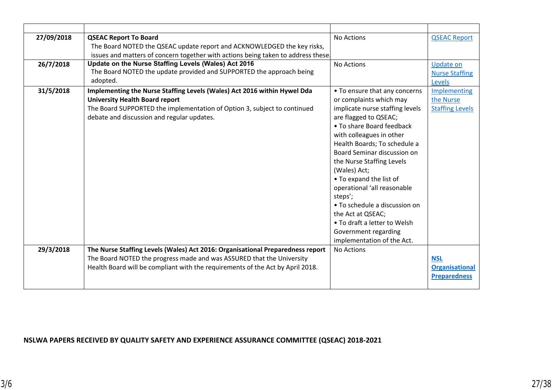| 27/09/2018 | <b>QSEAC Report To Board</b>                                                      | No Actions                      | <b>QSEAC Report</b>    |
|------------|-----------------------------------------------------------------------------------|---------------------------------|------------------------|
|            | The Board NOTED the QSEAC update report and ACKNOWLEDGED the key risks,           |                                 |                        |
|            | issues and matters of concern together with actions being taken to address these. |                                 |                        |
| 26/7/2018  | Update on the Nurse Staffing Levels (Wales) Act 2016                              | No Actions                      | <b>Update on</b>       |
|            | The Board NOTED the update provided and SUPPORTED the approach being              |                                 | <b>Nurse Staffing</b>  |
|            | adopted.                                                                          |                                 | Levels                 |
| 31/5/2018  | Implementing the Nurse Staffing Levels (Wales) Act 2016 within Hywel Dda          | • To ensure that any concerns   | Implementing           |
|            | <b>University Health Board report</b>                                             | or complaints which may         | the Nurse              |
|            | The Board SUPPORTED the implementation of Option 3, subject to continued          | implicate nurse staffing levels | <b>Staffing Levels</b> |
|            | debate and discussion and regular updates.                                        | are flagged to QSEAC;           |                        |
|            |                                                                                   | • To share Board feedback       |                        |
|            |                                                                                   | with colleagues in other        |                        |
|            |                                                                                   | Health Boards; To schedule a    |                        |
|            |                                                                                   | Board Seminar discussion on     |                        |
|            |                                                                                   | the Nurse Staffing Levels       |                        |
|            |                                                                                   | (Wales) Act;                    |                        |
|            |                                                                                   | • To expand the list of         |                        |
|            |                                                                                   | operational 'all reasonable     |                        |
|            |                                                                                   | steps';                         |                        |
|            |                                                                                   | • To schedule a discussion on   |                        |
|            |                                                                                   | the Act at QSEAC;               |                        |
|            |                                                                                   | • To draft a letter to Welsh    |                        |
|            |                                                                                   | Government regarding            |                        |
|            |                                                                                   | implementation of the Act.      |                        |
| 29/3/2018  | The Nurse Staffing Levels (Wales) Act 2016: Organisational Preparedness report    | No Actions                      |                        |
|            | The Board NOTED the progress made and was ASSURED that the University             |                                 | <b>NSL</b>             |
|            | Health Board will be compliant with the requirements of the Act by April 2018.    |                                 | <b>Organisational</b>  |
|            |                                                                                   |                                 | <b>Preparedness</b>    |
|            |                                                                                   |                                 |                        |

## **NSLWA PAPERS RECEIVED BY QUALITY SAFETY AND EXPERIENCE ASSURANCE COMMITTEE (QSEAC) 2018-2021**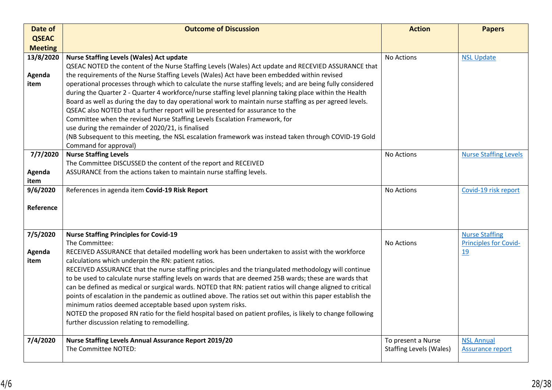| Date of        | <b>Outcome of Discussion</b>                                                                                                                                                                                        | <b>Action</b>                  | <b>Papers</b>                |
|----------------|---------------------------------------------------------------------------------------------------------------------------------------------------------------------------------------------------------------------|--------------------------------|------------------------------|
| <b>QSEAC</b>   |                                                                                                                                                                                                                     |                                |                              |
| <b>Meeting</b> |                                                                                                                                                                                                                     |                                |                              |
| 13/8/2020      | <b>Nurse Staffing Levels (Wales) Act update</b>                                                                                                                                                                     | No Actions                     | <b>NSL Update</b>            |
|                | QSEAC NOTED the content of the Nurse Staffing Levels (Wales) Act update and RECEVIED ASSURANCE that                                                                                                                 |                                |                              |
| Agenda         | the requirements of the Nurse Staffing Levels (Wales) Act have been embedded within revised                                                                                                                         |                                |                              |
| item           | operational processes through which to calculate the nurse staffing levels; and are being fully considered                                                                                                          |                                |                              |
|                | during the Quarter 2 - Quarter 4 workforce/nurse staffing level planning taking place within the Health<br>Board as well as during the day to day operational work to maintain nurse staffing as per agreed levels. |                                |                              |
|                | QSEAC also NOTED that a further report will be presented for assurance to the                                                                                                                                       |                                |                              |
|                | Committee when the revised Nurse Staffing Levels Escalation Framework, for                                                                                                                                          |                                |                              |
|                | use during the remainder of 2020/21, is finalised                                                                                                                                                                   |                                |                              |
|                | (NB Subsequent to this meeting, the NSL escalation framework was instead taken through COVID-19 Gold                                                                                                                |                                |                              |
|                | Command for approval)                                                                                                                                                                                               |                                |                              |
| 7/7/2020       | <b>Nurse Staffing Levels</b>                                                                                                                                                                                        | No Actions                     | <b>Nurse Staffing Levels</b> |
|                | The Committee DISCUSSED the content of the report and RECEIVED                                                                                                                                                      |                                |                              |
| Agenda         | ASSURANCE from the actions taken to maintain nurse staffing levels.                                                                                                                                                 |                                |                              |
| item           |                                                                                                                                                                                                                     |                                |                              |
| 9/6/2020       | References in agenda item Covid-19 Risk Report                                                                                                                                                                      | No Actions                     | Covid-19 risk report         |
| Reference      |                                                                                                                                                                                                                     |                                |                              |
|                |                                                                                                                                                                                                                     |                                |                              |
|                |                                                                                                                                                                                                                     |                                |                              |
| 7/5/2020       | <b>Nurse Staffing Principles for Covid-19</b>                                                                                                                                                                       |                                | <b>Nurse Staffing</b>        |
|                | The Committee:                                                                                                                                                                                                      | No Actions                     | <b>Principles for Covid-</b> |
| Agenda         | RECEIVED ASSURANCE that detailed modelling work has been undertaken to assist with the workforce                                                                                                                    |                                | 19                           |
| item           | calculations which underpin the RN: patient ratios.                                                                                                                                                                 |                                |                              |
|                | RECEIVED ASSURANCE that the nurse staffing principles and the triangulated methodology will continue                                                                                                                |                                |                              |
|                | to be used to calculate nurse staffing levels on wards that are deemed 25B wards; these are wards that                                                                                                              |                                |                              |
|                | can be defined as medical or surgical wards. NOTED that RN: patient ratios will change aligned to critical                                                                                                          |                                |                              |
|                | points of escalation in the pandemic as outlined above. The ratios set out within this paper establish the<br>minimum ratios deemed acceptable based upon system risks.                                             |                                |                              |
|                | NOTED the proposed RN ratio for the field hospital based on patient profiles, is likely to change following                                                                                                         |                                |                              |
|                | further discussion relating to remodelling.                                                                                                                                                                         |                                |                              |
|                |                                                                                                                                                                                                                     |                                |                              |
| 7/4/2020       | <b>Nurse Staffing Levels Annual Assurance Report 2019/20</b>                                                                                                                                                        | To present a Nurse             | <b>NSL Annual</b>            |
|                | The Committee NOTED:                                                                                                                                                                                                | <b>Staffing Levels (Wales)</b> | <b>Assurance report</b>      |
|                |                                                                                                                                                                                                                     |                                |                              |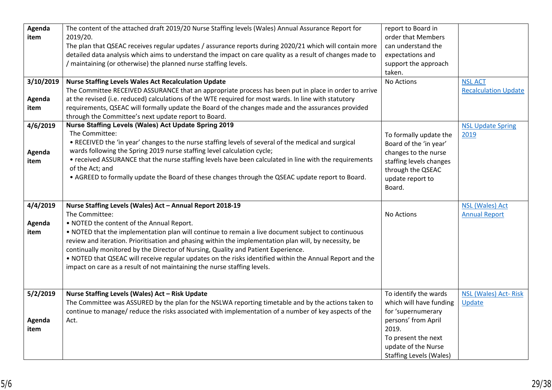| Agenda    | The content of the attached draft 2019/20 Nurse Staffing levels (Wales) Annual Assurance Report for       | report to Board in             |                             |
|-----------|-----------------------------------------------------------------------------------------------------------|--------------------------------|-----------------------------|
| item      | 2019/20.                                                                                                  | order that Members             |                             |
|           | The plan that QSEAC receives regular updates / assurance reports during 2020/21 which will contain more   | can understand the             |                             |
|           | detailed data analysis which aims to understand the impact on care quality as a result of changes made to | expectations and               |                             |
|           | maintaining (or otherwise) the planned nurse staffing levels.                                             | support the approach           |                             |
|           |                                                                                                           | taken.                         |                             |
| 3/10/2019 | <b>Nurse Staffing Levels Wales Act Recalculation Update</b>                                               | No Actions                     | <b>NSL ACT</b>              |
|           | The Committee RECEIVED ASSURANCE that an appropriate process has been put in place in order to arrive     |                                | <b>Recalculation Update</b> |
| Agenda    | at the revised (i.e. reduced) calculations of the WTE required for most wards. In line with statutory     |                                |                             |
| item      | requirements, QSEAC will formally update the Board of the changes made and the assurances provided        |                                |                             |
|           | through the Committee's next update report to Board.                                                      |                                |                             |
| 4/6/2019  | Nurse Staffing Levels (Wales) Act Update Spring 2019                                                      |                                | <b>NSL Update Spring</b>    |
|           | The Committee:                                                                                            | To formally update the         | 2019                        |
|           | . RECEIVED the 'in year' changes to the nurse staffing levels of several of the medical and surgical      | Board of the 'in year'         |                             |
| Agenda    | wards following the Spring 2019 nurse staffing level calculation cycle;                                   | changes to the nurse           |                             |
| item      | • received ASSURANCE that the nurse staffing levels have been calculated in line with the requirements    | staffing levels changes        |                             |
|           | of the Act; and                                                                                           | through the QSEAC              |                             |
|           | . AGREED to formally update the Board of these changes through the QSEAC update report to Board.          |                                |                             |
|           |                                                                                                           | update report to               |                             |
|           |                                                                                                           | Board.                         |                             |
|           |                                                                                                           |                                |                             |
| 4/4/2019  | Nurse Staffing Levels (Wales) Act - Annual Report 2018-19<br>The Committee:                               |                                | <b>NSL (Wales) Act</b>      |
|           |                                                                                                           | No Actions                     | <b>Annual Report</b>        |
| Agenda    | . NOTED the content of the Annual Report.                                                                 |                                |                             |
| item      | . NOTED that the implementation plan will continue to remain a live document subject to continuous        |                                |                             |
|           | review and iteration. Prioritisation and phasing within the implementation plan will, by necessity, be    |                                |                             |
|           | continually monitored by the Director of Nursing, Quality and Patient Experience.                         |                                |                             |
|           | . NOTED that QSEAC will receive regular updates on the risks identified within the Annual Report and the  |                                |                             |
|           | impact on care as a result of not maintaining the nurse staffing levels.                                  |                                |                             |
|           |                                                                                                           |                                |                             |
|           |                                                                                                           |                                |                             |
| 5/2/2019  | Nurse Staffing Levels (Wales) Act - Risk Update                                                           | To identify the wards          | NSL (Wales) Act-Risk        |
|           | The Committee was ASSURED by the plan for the NSLWA reporting timetable and by the actions taken to       | which will have funding        | Update                      |
|           | continue to manage/ reduce the risks associated with implementation of a number of key aspects of the     | for 'supernumerary             |                             |
| Agenda    | Act.                                                                                                      | persons' from April            |                             |
| item      |                                                                                                           | 2019.                          |                             |
|           |                                                                                                           | To present the next            |                             |
|           |                                                                                                           | update of the Nurse            |                             |
|           |                                                                                                           | <b>Staffing Levels (Wales)</b> |                             |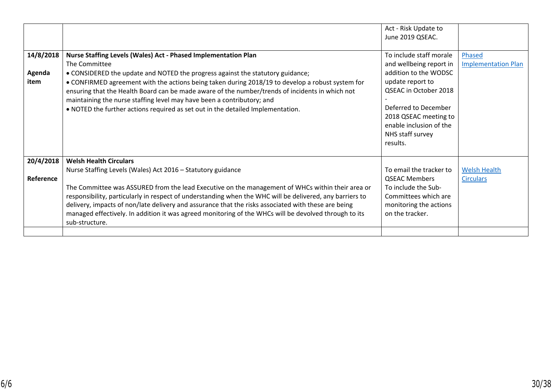|                             |                                                                                                                                                                                                                                                                                                                                                                                                                                                                                                                                                | Act - Risk Update to<br>June 2019 QSEAC.                                                                                                                                                                                             |                                         |
|-----------------------------|------------------------------------------------------------------------------------------------------------------------------------------------------------------------------------------------------------------------------------------------------------------------------------------------------------------------------------------------------------------------------------------------------------------------------------------------------------------------------------------------------------------------------------------------|--------------------------------------------------------------------------------------------------------------------------------------------------------------------------------------------------------------------------------------|-----------------------------------------|
| 14/8/2018<br>Agenda<br>item | Nurse Staffing Levels (Wales) Act - Phased Implementation Plan<br>The Committee<br>• CONSIDERED the update and NOTED the progress against the statutory guidance;<br>• CONFIRMED agreement with the actions being taken during 2018/19 to develop a robust system for<br>ensuring that the Health Board can be made aware of the number/trends of incidents in which not<br>maintaining the nurse staffing level may have been a contributory; and<br>. NOTED the further actions required as set out in the detailed Implementation.          | To include staff morale<br>and wellbeing report in<br>addition to the WODSC<br>update report to<br>QSEAC in October 2018<br>Deferred to December<br>2018 QSEAC meeting to<br>enable inclusion of the<br>NHS staff survey<br>results. | Phased<br><b>Implementation Plan</b>    |
| 20/4/2018<br>Reference      | <b>Welsh Health Circulars</b><br>Nurse Staffing Levels (Wales) Act 2016 - Statutory guidance<br>The Committee was ASSURED from the lead Executive on the management of WHCs within their area or<br>responsibility, particularly in respect of understanding when the WHC will be delivered, any barriers to<br>delivery, impacts of non/late delivery and assurance that the risks associated with these are being<br>managed effectively. In addition it was agreed monitoring of the WHCs will be devolved through to its<br>sub-structure. | To email the tracker to<br><b>QSEAC Members</b><br>To include the Sub-<br>Committees which are<br>monitoring the actions<br>on the tracker.                                                                                          | <b>Welsh Health</b><br><b>Circulars</b> |
|                             |                                                                                                                                                                                                                                                                                                                                                                                                                                                                                                                                                |                                                                                                                                                                                                                                      |                                         |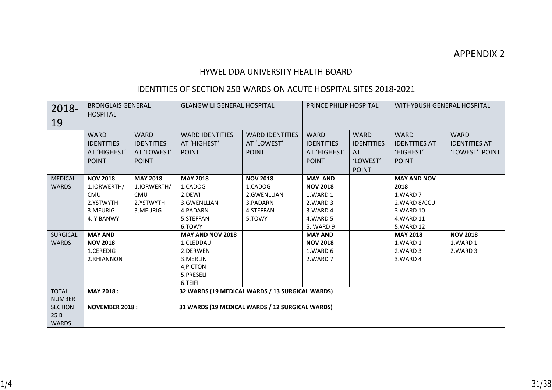### HYWEL DDA UNIVERSITY HEALTH BOARD

## IDENTITIES OF SECTION 25B WARDS ON ACUTE HOSPITAL SITES 2018-2021

| 2018-<br>19                                                            | <b>BRONGLAIS GENERAL</b><br><b>HOSPITAL</b>                                         |                                                                       |                                                                                                    | <b>WITHYBUSH GENERAL HOSPITAL</b><br><b>GLANGWILI GENERAL HOSPITAL</b><br>PRINCE PHILIP HOSPITAL |                                                                                                |                                                                     |                                                                                                  |                                                       |
|------------------------------------------------------------------------|-------------------------------------------------------------------------------------|-----------------------------------------------------------------------|----------------------------------------------------------------------------------------------------|--------------------------------------------------------------------------------------------------|------------------------------------------------------------------------------------------------|---------------------------------------------------------------------|--------------------------------------------------------------------------------------------------|-------------------------------------------------------|
|                                                                        | <b>WARD</b><br><b>IDENTITIES</b><br>AT 'HIGHEST'<br><b>POINT</b>                    | <b>WARD</b><br><b>IDENTITIES</b><br>AT 'LOWEST'<br><b>POINT</b>       | <b>WARD IDENTITIES</b><br>AT 'HIGHEST'<br><b>POINT</b>                                             | <b>WARD IDENTITIES</b><br>AT 'LOWEST'<br><b>POINT</b>                                            | <b>WARD</b><br><b>IDENTITIES</b><br>AT 'HIGHEST'<br><b>POINT</b>                               | <b>WARD</b><br><b>IDENTITIES</b><br>AT.<br>'LOWEST'<br><b>POINT</b> | <b>WARD</b><br><b>IDENTITIES AT</b><br>'HIGHEST'<br><b>POINT</b>                                 | <b>WARD</b><br><b>IDENTITIES AT</b><br>'LOWEST' POINT |
| <b>MEDICAL</b><br><b>WARDS</b>                                         | <b>NOV 2018</b><br>1.IORWERTH/<br><b>CMU</b><br>2.YSTWYTH<br>3.MEURIG<br>4. Y BANWY | <b>MAY 2018</b><br>1.IORWERTH/<br><b>CMU</b><br>2.YSTWYTH<br>3.MEURIG | <b>MAY 2018</b><br>1.CADOG<br>2.DEWI<br>3.GWENLLIAN<br>4.PADARN<br>5.STEFFAN<br>6.TOWY             | <b>NOV 2018</b><br>1.CADOG<br>2.GWENLLIAN<br>3.PADARN<br>4.STEFFAN<br>5.TOWY                     | <b>MAY AND</b><br><b>NOV 2018</b><br>1.WARD 1<br>2.WARD 3<br>3.WARD 4<br>4.WARD 5<br>5. WARD 9 |                                                                     | <b>MAY AND NOV</b><br>2018<br>1.WARD 7<br>2.WARD 8/CCU<br>3. WARD 10<br>4. WARD 11<br>5. WARD 12 |                                                       |
| <b>SURGICAL</b><br><b>WARDS</b>                                        | <b>MAY AND</b><br><b>NOV 2018</b><br>1.CEREDIG<br>2.RHIANNON                        |                                                                       | MAY AND NOV 2018<br>1.CLEDDAU<br>2.DERWEN<br>3.MERLIN<br>4, PICTON<br>5.PRESELI<br>6.TEIFI         |                                                                                                  | <b>MAY AND</b><br><b>NOV 2018</b><br>1.WARD 6<br>2.WARD 7                                      |                                                                     | <b>MAY 2018</b><br>1.WARD 1<br>2.WARD 3<br>3.WARD 4                                              | <b>NOV 2018</b><br>1.WARD 1<br>2.WARD 3               |
| <b>TOTAL</b><br><b>NUMBER</b><br><b>SECTION</b><br>25B<br><b>WARDS</b> | <b>MAY 2018:</b><br><b>NOVEMBER 2018:</b>                                           |                                                                       | 32 WARDS (19 MEDICAL WARDS / 13 SURGICAL WARDS)<br>31 WARDS (19 MEDICAL WARDS / 12 SURGICAL WARDS) |                                                                                                  |                                                                                                |                                                                     |                                                                                                  |                                                       |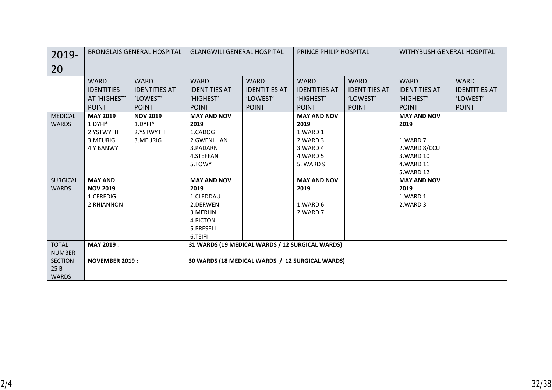| 2019-           | <b>BRONGLAIS GENERAL HOSPITAL</b> |                      | <b>GLANGWILI GENERAL HOSPITAL</b>               |                      | <b>PRINCE PHILIP HOSPITAL</b> |                      | WITHYBUSH GENERAL HOSPITAL |                      |
|-----------------|-----------------------------------|----------------------|-------------------------------------------------|----------------------|-------------------------------|----------------------|----------------------------|----------------------|
| 20              |                                   |                      |                                                 |                      |                               |                      |                            |                      |
|                 | <b>WARD</b>                       | <b>WARD</b>          | <b>WARD</b>                                     | <b>WARD</b>          | <b>WARD</b>                   | <b>WARD</b>          | <b>WARD</b>                | <b>WARD</b>          |
|                 | <b>IDENTITIES</b>                 | <b>IDENTITIES AT</b> | <b>IDENTITIES AT</b>                            | <b>IDENTITIES AT</b> | <b>IDENTITIES AT</b>          | <b>IDENTITIES AT</b> | <b>IDENTITIES AT</b>       | <b>IDENTITIES AT</b> |
|                 | AT 'HIGHEST'                      | 'LOWEST'             | 'HIGHEST'                                       | 'LOWEST'             | 'HIGHEST'                     | 'LOWEST'             | 'HIGHEST'                  | 'LOWEST'             |
|                 | <b>POINT</b>                      | <b>POINT</b>         | <b>POINT</b>                                    | <b>POINT</b>         | <b>POINT</b>                  | <b>POINT</b>         | <b>POINT</b>               | <b>POINT</b>         |
| <b>MEDICAL</b>  | <b>MAY 2019</b>                   | <b>NOV 2019</b>      | <b>MAY AND NOV</b>                              |                      | <b>MAY AND NOV</b>            |                      | <b>MAY AND NOV</b>         |                      |
| <b>WARDS</b>    | 1.DYFI*                           | 1.DYFI*              | 2019                                            |                      | 2019                          |                      | 2019                       |                      |
|                 | 2.YSTWYTH                         | 2.YSTWYTH            | 1.CADOG                                         |                      | 1.WARD 1                      |                      |                            |                      |
|                 | 3.MEURIG                          | 3.MEURIG             | 2.GWENLLIAN                                     |                      | 2.WARD 3                      |                      | 1.WARD 7                   |                      |
|                 | 4.Y BANWY                         |                      | 3.PADARN                                        |                      | 3.WARD 4                      |                      | 2.WARD 8/CCU               |                      |
|                 |                                   |                      | 4.STEFFAN                                       |                      | 4.WARD 5                      |                      | 3. WARD 10                 |                      |
|                 |                                   |                      | 5.TOWY                                          |                      | 5. WARD 9                     |                      | 4. WARD 11                 |                      |
|                 |                                   |                      |                                                 |                      |                               |                      | 5.WARD 12                  |                      |
| <b>SURGICAL</b> | <b>MAY AND</b>                    |                      | <b>MAY AND NOV</b>                              |                      | <b>MAY AND NOV</b>            |                      | <b>MAY AND NOV</b>         |                      |
| <b>WARDS</b>    | <b>NOV 2019</b>                   |                      | 2019                                            |                      | 2019                          |                      | 2019                       |                      |
|                 | 1.CEREDIG                         |                      | 1.CLEDDAU                                       |                      |                               |                      | 1.WARD 1                   |                      |
|                 | 2.RHIANNON                        |                      | 2.DERWEN                                        |                      | 1.WARD 6                      |                      | 2.WARD 3                   |                      |
|                 |                                   |                      | 3. MERLIN                                       |                      | 2.WARD 7                      |                      |                            |                      |
|                 |                                   |                      | 4.PICTON                                        |                      |                               |                      |                            |                      |
|                 |                                   |                      | 5.PRESELI                                       |                      |                               |                      |                            |                      |
|                 |                                   |                      | 6.TEIFI                                         |                      |                               |                      |                            |                      |
| <b>TOTAL</b>    | MAY 2019:                         |                      | 31 WARDS (19 MEDICAL WARDS / 12 SURGICAL WARDS) |                      |                               |                      |                            |                      |
| <b>NUMBER</b>   |                                   |                      |                                                 |                      |                               |                      |                            |                      |
| <b>SECTION</b>  | <b>NOVEMBER 2019:</b>             |                      | 30 WARDS (18 MEDICAL WARDS / 12 SURGICAL WARDS) |                      |                               |                      |                            |                      |
| 25B             |                                   |                      |                                                 |                      |                               |                      |                            |                      |
| <b>WARDS</b>    |                                   |                      |                                                 |                      |                               |                      |                            |                      |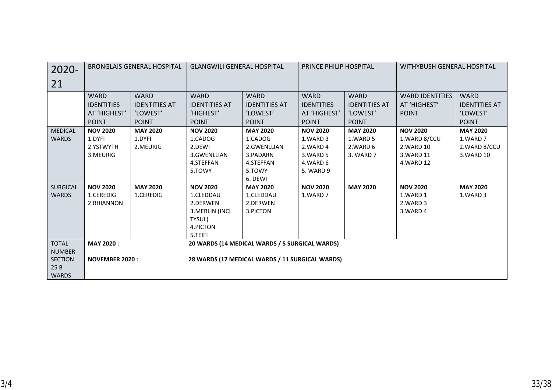| $2020 -$        | <b>BRONGLAIS GENERAL HOSPITAL</b> |                      | <b>GLANGWILI GENERAL HOSPITAL</b> |                                                 | PRINCE PHILIP HOSPITAL |                      | WITHYBUSH GENERAL HOSPITAL |                      |
|-----------------|-----------------------------------|----------------------|-----------------------------------|-------------------------------------------------|------------------------|----------------------|----------------------------|----------------------|
| 21              |                                   |                      |                                   |                                                 |                        |                      |                            |                      |
|                 | <b>WARD</b>                       | <b>WARD</b>          | <b>WARD</b>                       | <b>WARD</b>                                     | <b>WARD</b>            | <b>WARD</b>          | <b>WARD IDENTITIES</b>     | <b>WARD</b>          |
|                 | <b>IDENTITIES</b>                 | <b>IDENTITIES AT</b> | <b>IDENTITIES AT</b>              | <b>IDENTITIES AT</b>                            | <b>IDENTITIES</b>      | <b>IDENTITIES AT</b> | AT 'HIGHEST'               | <b>IDENTITIES AT</b> |
|                 | AT 'HIGHEST'                      | 'LOWEST'             | 'HIGHEST'                         | 'LOWEST'                                        | AT 'HIGHEST'           | 'LOWEST'             | <b>POINT</b>               | 'LOWEST'             |
|                 | <b>POINT</b>                      | <b>POINT</b>         | <b>POINT</b>                      | <b>POINT</b>                                    | <b>POINT</b>           | <b>POINT</b>         |                            | <b>POINT</b>         |
| <b>MEDICAL</b>  | <b>NOV 2020</b>                   | <b>MAY 2020</b>      | <b>NOV 2020</b>                   | <b>MAY 2020</b>                                 | <b>NOV 2020</b>        | <b>MAY 2020</b>      | <b>NOV 2020</b>            | <b>MAY 2020</b>      |
| <b>WARDS</b>    | 1.DYFI                            | 1.DYFI               | 1.CADOG                           | 1.CADOG                                         | 1.WARD 3               | 1.WARD 5             | 1.WARD 8/CCU               | 1.WARD 7             |
|                 | 2.YSTWYTH                         | 2.MEURIG             | 2.DEWI                            | 2.GWENLLIAN                                     | 2.WARD 4               | 2.WARD 6             | 2. WARD 10                 | 2.WARD 8/CCU         |
|                 | 3.MEURIG                          |                      | 3.GWENLLIAN                       | 3.PADARN                                        | 3.WARD 5               | 3. WARD 7            | 3. WARD 11                 | 3.WARD 10            |
|                 |                                   |                      | 4.STEFFAN                         | 4.STEFFAN                                       | 4.WARD 6               |                      | 4.WARD 12                  |                      |
|                 |                                   |                      | 5.TOWY                            | 5.TOWY                                          | 5. WARD 9              |                      |                            |                      |
|                 |                                   |                      |                                   | 6. DEWI                                         |                        |                      |                            |                      |
| <b>SURGICAL</b> | <b>NOV 2020</b>                   | <b>MAY 2020</b>      | <b>NOV 2020</b>                   | <b>MAY 2020</b>                                 | <b>NOV 2020</b>        | <b>MAY 2020</b>      | <b>NOV 2020</b>            | <b>MAY 2020</b>      |
| <b>WARDS</b>    | 1.CEREDIG                         | 1.CEREDIG            | 1.CLEDDAU                         | 1.CLEDDAU                                       | 1.WARD 7               |                      | 1.WARD 1                   | 1.WARD 3             |
|                 | 2.RHIANNON                        |                      | 2.DERWEN                          | 2.DERWEN                                        |                        |                      | 2.WARD 3                   |                      |
|                 |                                   |                      | 3. MERLIN (INCL                   | 3.PICTON                                        |                        |                      | 3. WARD 4                  |                      |
|                 |                                   |                      | TYSUL)                            |                                                 |                        |                      |                            |                      |
|                 |                                   |                      | 4.PICTON                          |                                                 |                        |                      |                            |                      |
|                 |                                   |                      | 5.TEIFI                           |                                                 |                        |                      |                            |                      |
| <b>TOTAL</b>    | MAY 2020:                         |                      |                                   | 20 WARDS (14 MEDICAL WARDS / 5 SURGICAL WARDS)  |                        |                      |                            |                      |
| <b>NUMBER</b>   |                                   |                      |                                   |                                                 |                        |                      |                            |                      |
| <b>SECTION</b>  | <b>NOVEMBER 2020:</b>             |                      |                                   | 28 WARDS (17 MEDICAL WARDS / 11 SURGICAL WARDS) |                        |                      |                            |                      |
| 25B             |                                   |                      |                                   |                                                 |                        |                      |                            |                      |
| <b>WARDS</b>    |                                   |                      |                                   |                                                 |                        |                      |                            |                      |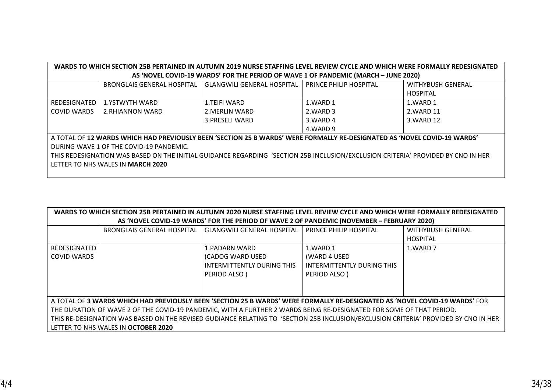| WARDS TO WHICH SECTION 25B PERTAINED IN AUTUMN 2019 NURSE STAFFING LEVEL REVIEW CYCLE AND WHICH WERE FORMALLY REDESIGNATED       |                                          |                                                                                    |                        |                   |  |  |  |  |
|----------------------------------------------------------------------------------------------------------------------------------|------------------------------------------|------------------------------------------------------------------------------------|------------------------|-------------------|--|--|--|--|
|                                                                                                                                  |                                          | AS 'NOVEL COVID-19 WARDS' FOR THE PERIOD OF WAVE 1 OF PANDEMIC (MARCH - JUNE 2020) |                        |                   |  |  |  |  |
|                                                                                                                                  | <b>BRONGLAIS GENERAL HOSPITAL</b>        | <b>GLANGWILI GENERAL HOSPITAL</b>                                                  | PRINCE PHILIP HOSPITAL | WITHYBUSH GENERAL |  |  |  |  |
|                                                                                                                                  |                                          |                                                                                    |                        | <b>HOSPITAL</b>   |  |  |  |  |
| REDESIGNATED                                                                                                                     | 1.YSTWYTH WARD                           | 1.TEIFI WARD                                                                       | 1.WARD 1               | 1.WARD 1          |  |  |  |  |
| COVID WARDS                                                                                                                      | 2.RHIANNON WARD                          | 2. MERLIN WARD                                                                     | 2. WARD 3              | 2.WARD 11         |  |  |  |  |
|                                                                                                                                  |                                          | 3.PRESELI WARD                                                                     | 3. WARD 4              | 3. WARD 12        |  |  |  |  |
|                                                                                                                                  |                                          |                                                                                    | 4.WARD 9               |                   |  |  |  |  |
| A TOTAL OF 12 WARDS WHICH HAD PREVIOUSLY BEEN 'SECTION 25 B WARDS' WERE FORMALLY RE-DESIGNATED AS 'NOVEL COVID-19 WARDS'         |                                          |                                                                                    |                        |                   |  |  |  |  |
| DURING WAVE 1 OF THE COVID-19 PANDEMIC.                                                                                          |                                          |                                                                                    |                        |                   |  |  |  |  |
| THIS REDESIGNATION WAS BASED ON THE INITIAL GUIDANCE REGARDING 'SECTION 25B INCLUSION/EXCLUSION CRITERIA' PROVIDED BY CNO IN HER |                                          |                                                                                    |                        |                   |  |  |  |  |
|                                                                                                                                  | LETTER TO NHS WALES IN <b>MARCH 2020</b> |                                                                                    |                        |                   |  |  |  |  |
|                                                                                                                                  |                                          |                                                                                    |                        |                   |  |  |  |  |

| WARDS TO WHICH SECTION 25B PERTAINED IN AUTUMN 2020 NURSE STAFFING LEVEL REVIEW CYCLE AND WHICH WERE FORMALLY REDESIGNATED<br>AS 'NOVEL COVID-19 WARDS' FOR THE PERIOD OF WAVE 2 OF PANDEMIC (NOVEMBER - FEBRUARY 2020) |                                   |                                   |                            |                          |
|-------------------------------------------------------------------------------------------------------------------------------------------------------------------------------------------------------------------------|-----------------------------------|-----------------------------------|----------------------------|--------------------------|
|                                                                                                                                                                                                                         |                                   |                                   |                            |                          |
|                                                                                                                                                                                                                         | <b>BRONGLAIS GENERAL HOSPITAL</b> | <b>GLANGWILI GENERAL HOSPITAL</b> | PRINCE PHILIP HOSPITAL     | <b>WITHYBUSH GENERAL</b> |
|                                                                                                                                                                                                                         |                                   |                                   |                            | <b>HOSPITAL</b>          |
| REDESIGNATED                                                                                                                                                                                                            |                                   | 1.PADARN WARD                     | 1.WARD 1                   | 1.WARD 7                 |
| COVID WARDS                                                                                                                                                                                                             |                                   | (CADOG WARD USED                  | (WARD 4 USED               |                          |
|                                                                                                                                                                                                                         |                                   | INTERMITTENTLY DURING THIS        | INTERMITTENTLY DURING THIS |                          |
|                                                                                                                                                                                                                         |                                   | PERIOD ALSO)                      | PERIOD ALSO)               |                          |
|                                                                                                                                                                                                                         |                                   |                                   |                            |                          |
|                                                                                                                                                                                                                         |                                   |                                   |                            |                          |
| A TOTAL OF <b>3 WARDS WHICH HAD PREVIOUSLY BEEN 'SECTION 25 B WARDS' WERE FORMALLY RE-DESIGNATED AS 'NOVEL COVID-19 WARDS'</b> FOR                                                                                      |                                   |                                   |                            |                          |
| THE DURATION OF WAVE 2 OF THE COVID-19 PANDEMIC, WITH A FURTHER 2 WARDS BEING RE-DESIGNATED FOR SOME OF THAT PERIOD.                                                                                                    |                                   |                                   |                            |                          |
| THIS RE-DESIGNATION WAS BASED ON THE REVISED GUDIANCE RELATING TO 'SECTION 25B INCLUSION/EXCLUSION CRITERIA' PROVIDED BY CNO IN HER                                                                                     |                                   |                                   |                            |                          |
| LETTER TO NHS WALES IN OCTOBER 2020                                                                                                                                                                                     |                                   |                                   |                            |                          |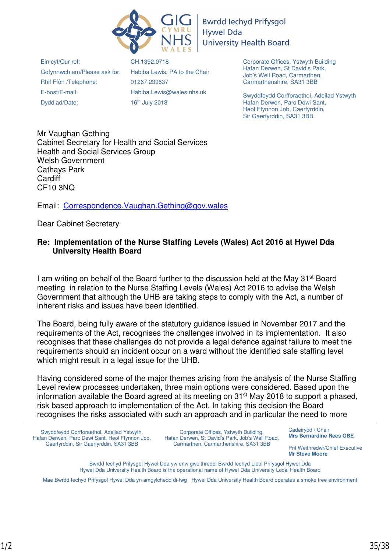

**Bwrdd lechyd Prifysgol Hywel Dda University Health Board** 

Ein cyf/Our ref: Gofynnwch am/Please ask for: Rhif Ffôn /Telephone: E-bost/E-mail: Dyddiad/Date:

CH.1392.0718 Habiba Lewis, PA to the Chair 01267 239637 Habiba.Lewis@wales.nhs.uk 16th July 2018

Corporate Offices, Ystwyth Building Hafan Derwen, St David's Park, Job's Well Road, Carmarthen, Carmarthenshire, SA31 3BB

Swyddfeydd Corfforaethol, Adeilad Ystwyth Hafan Derwen, Parc Dewi Sant, Heol Ffynnon Job, Caerfyrddin, Sir Gaerfyrddin, SA31 3BB

Mr Vaughan Gething Cabinet Secretary for Health and Social Services Health and Social Services Group Welsh Government Cathays Park **Cardiff** CF10 3NQ

Email: Correspondence.Vaughan.Gething@gov.wales

Dear Cabinet Secretary

### **Re: Implementation of the Nurse Staffing Levels (Wales) Act 2016 at Hywel Dda University Health Board**

I am writing on behalf of the Board further to the discussion held at the May 31st Board meeting in relation to the Nurse Staffing Levels (Wales) Act 2016 to advise the Welsh Government that although the UHB are taking steps to comply with the Act, a number of inherent risks and issues have been identified.

The Board, being fully aware of the statutory guidance issued in November 2017 and the requirements of the Act, recognises the challenges involved in its implementation. It also recognises that these challenges do not provide a legal defence against failure to meet the requirements should an incident occur on a ward without the identified safe staffing level which might result in a legal issue for the UHB.

Having considered some of the major themes arising from the analysis of the Nurse Staffing Level review processes undertaken, three main options were considered. Based upon the information available the Board agreed at its meeting on 31<sup>st</sup> May 2018 to support a phased, risk based approach to implementation of the Act. In taking this decision the Board recognises the risks associated with such an approach and in particular the need to more

Swyddfeydd Corfforaethol, Adeilad Ystwyth, Hafan Derwen, Parc Dewi Sant, Heol Ffynnon Job, Caerfyrddin, Sir Gaerfyrddin, SA31 3BB

Corporate Offices, Ystwyth Building, Hafan Derwen, St David's Park, Job's Well Road, Carmarthen, Carmarthenshire, SA31 3BB

Cadeirydd / Chair **Mrs Bernardine Rees OBE** 

Prif Weithredwr/Chief Executive **Mr Steve Moore** 

Bwrdd Iechyd Prifysgol Hywel Dda yw enw gweithredol Bwrdd Iechyd Lleol Prifysgol Hywel Dda Hywel Dda University Health Board is the operational name of Hywel Dda University Local Health Board

Mae Bwrdd Iechyd Prifysgol Hywel Dda yn amgylchedd di-fwg Hywel Dda University Health Board operates a smoke free environment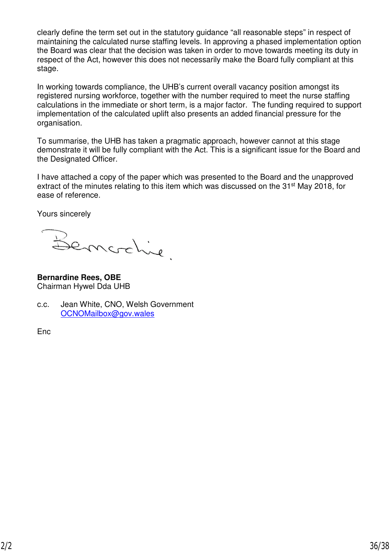clearly define the term set out in the statutory guidance "all reasonable steps" in respect of maintaining the calculated nurse staffing levels. In approving a phased implementation option the Board was clear that the decision was taken in order to move towards meeting its duty in respect of the Act, however this does not necessarily make the Board fully compliant at this stage.

In working towards compliance, the UHB's current overall vacancy position amongst its registered nursing workforce, together with the number required to meet the nurse staffing calculations in the immediate or short term, is a major factor. The funding required to support implementation of the calculated uplift also presents an added financial pressure for the organisation.

To summarise, the UHB has taken a pragmatic approach, however cannot at this stage demonstrate it will be fully compliant with the Act. This is a significant issue for the Board and the Designated Officer.

I have attached a copy of the paper which was presented to the Board and the unapproved extract of the minutes relating to this item which was discussed on the 31<sup>st</sup> May 2018, for ease of reference.

Yours sincerely

Bemorchine.

**Bernardine Rees, OBE**  Chairman Hywel Dda UHB

c.c. Jean White, CNO, Welsh Government OCNOMailbox@gov.wales

Enc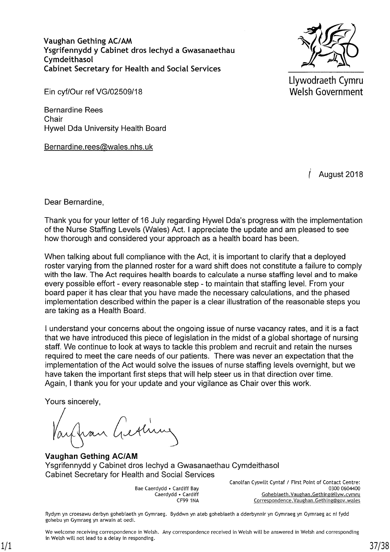Vaughan Gething AC/AM Ysgrifennydd y Cabinet dros lechyd a Gwasanaethau Cymdeithasol **Cabinet Secretary for Health and Social Services** 



Llywodraeth Cymru Welsh Government

Ein cyf/Our ref VG/02509/18

**Bernardine Rees** Chair Hywel Dda University Health Board

Bernardine.rees@wales.nhs.uk

August 2018

Dear Bernardine,

Thank you for your letter of 16 July regarding Hywel Dda's progress with the implementation of the Nurse Staffing Levels (Wales) Act. I appreciate the update and am pleased to see how thorough and considered your approach as a health board has been.

When talking about full compliance with the Act, it is important to clarify that a deployed roster varying from the planned roster for a ward shift does not constitute a failure to comply with the law. The Act requires health boards to calculate a nurse staffing level and to make every possible effort - every reasonable step - to maintain that staffing level. From your board paper it has clear that you have made the necessary calculations, and the phased implementation described within the paper is a clear illustration of the reasonable steps you are taking as a Health Board.

I understand your concerns about the ongoing issue of nurse vacancy rates, and it is a fact that we have introduced this piece of legislation in the midst of a global shortage of nursing staff. We continue to look at ways to tackle this problem and recruit and retain the nurses required to meet the care needs of our patients. There was never an expectation that the implementation of the Act would solve the issues of nurse staffing levels overnight, but we have taken the important first steps that will help steer us in that direction over time. Again, I thank you for your update and your vigilance as Chair over this work.

Yours sincerely,

infran Gestime

**Vaughan Gething AC/AM** Ysgrifennydd y Cabinet dros lechyd a Gwasanaethau Cymdeithasol **Cabinet Secretary for Health and Social Services** 

> Bae Caerdydd . Cardiff Bay Caerdydd . Cardiff **CF99 1NA**

Canolfan Cyswllt Cyntaf / First Point of Contact Centre: 0300 0604400 Gohebiaeth. Vaughan. Gething@llyw.cymru Correspondence. Vaughan. Gething@gov. wales

Rydym yn croesawu derbyn gohebiaeth yn Gymraeg. Byddwn yn ateb gohebiaeth a dderbynnir yn Gymraeg yn Gymraeg ac ni fydd gohebu yn Gymraeg yn arwain at oedi.

We welcome receiving correspondence in Welsh. Any correspondence received in Welsh will be answered in Welsh and corresponding in Welsh will not lead to a delay in responding. 1/1 37/38